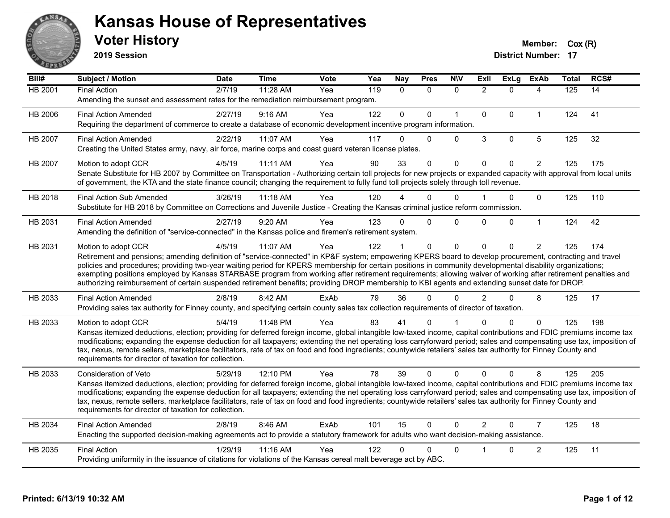

**2019 Session**

| Bill#          | Subject / Motion                                                                                                                                                                                                                                                                                                                                                                                                                                                                                                                                                                                                                                                   | <b>Date</b> | <b>Time</b> | <b>Vote</b> | Yea | <b>Nay</b>   | <b>Pres</b>  | <b>N\V</b>   | ExIl           | <b>ExLg</b> | <b>ExAb</b>    | <b>Total</b> | RCS# |
|----------------|--------------------------------------------------------------------------------------------------------------------------------------------------------------------------------------------------------------------------------------------------------------------------------------------------------------------------------------------------------------------------------------------------------------------------------------------------------------------------------------------------------------------------------------------------------------------------------------------------------------------------------------------------------------------|-------------|-------------|-------------|-----|--------------|--------------|--------------|----------------|-------------|----------------|--------------|------|
| <b>HB 2001</b> | <b>Final Action</b><br>Amending the sunset and assessment rates for the remediation reimbursement program.                                                                                                                                                                                                                                                                                                                                                                                                                                                                                                                                                         | 2/7/19      | 11:28 AM    | Yea         | 119 | $\mathbf{0}$ | $\mathbf{0}$ | $\Omega$     | $\overline{2}$ | $\Omega$    | 4              | 125          | 14   |
| HB 2006        | <b>Final Action Amended</b><br>Requiring the department of commerce to create a database of economic development incentive program information.                                                                                                                                                                                                                                                                                                                                                                                                                                                                                                                    | 2/27/19     | 9:16 AM     | Yea         | 122 | $\Omega$     | $\Omega$     | $\mathbf{1}$ | $\mathbf{0}$   | $\Omega$    | $\mathbf{1}$   | 124          | 41   |
| <b>HB 2007</b> | <b>Final Action Amended</b><br>Creating the United States army, navy, air force, marine corps and coast guard veteran license plates.                                                                                                                                                                                                                                                                                                                                                                                                                                                                                                                              | 2/22/19     | 11:07 AM    | Yea         | 117 | $\Omega$     | $\Omega$     | $\Omega$     | 3              | $\mathbf 0$ | 5              | 125          | 32   |
| HB 2007        | Motion to adopt CCR<br>Senate Substitute for HB 2007 by Committee on Transportation - Authorizing certain toll projects for new projects or expanded capacity with approval from local units<br>of government, the KTA and the state finance council; changing the requirement to fully fund toll projects solely through toll revenue.                                                                                                                                                                                                                                                                                                                            | 4/5/19      | 11:11 AM    | Yea         | 90  | 33           | $\Omega$     | $\mathbf{0}$ | $\Omega$       | $\Omega$    | $\overline{2}$ | 125          | 175  |
| HB 2018        | <b>Final Action Sub Amended</b><br>Substitute for HB 2018 by Committee on Corrections and Juvenile Justice - Creating the Kansas criminal justice reform commission.                                                                                                                                                                                                                                                                                                                                                                                                                                                                                               | 3/26/19     | $11:18$ AM  | Yea         | 120 |              | $\Omega$     | $\mathbf{0}$ |                | 0           | $\mathbf 0$    | 125          | 110  |
| HB 2031        | <b>Final Action Amended</b><br>Amending the definition of "service-connected" in the Kansas police and firemen's retirement system.                                                                                                                                                                                                                                                                                                                                                                                                                                                                                                                                | 2/27/19     | 9:20 AM     | Yea         | 123 | $\Omega$     | $\Omega$     | $\Omega$     | 0              | $\Omega$    | $\mathbf{1}$   | 124          | 42   |
| HB 2031        | Motion to adopt CCR<br>Retirement and pensions; amending definition of "service-connected" in KP&F system; empowering KPERS board to develop procurement, contracting and travel<br>policies and procedures; providing two-year waiting period for KPERS membership for certain positions in community developmental disability organizations;<br>exempting positions employed by Kansas STARBASE program from working after retirement requirements; allowing waiver of working after retirement penalties and<br>authorizing reimbursement of certain suspended retirement benefits; providing DROP membership to KBI agents and extending sunset date for DROP. | 4/5/19      | 11:07 AM    | Yea         | 122 |              | $\mathbf{0}$ | $\mathbf 0$  | $\Omega$       | $\Omega$    | $\overline{2}$ | 125          | 174  |
| HB 2033        | <b>Final Action Amended</b><br>Providing sales tax authority for Finney county, and specifying certain county sales tax collection requirements of director of taxation.                                                                                                                                                                                                                                                                                                                                                                                                                                                                                           | 2/8/19      | 8:42 AM     | ExAb        | 79  | 36           | $\Omega$     | $\mathbf{0}$ | $\overline{2}$ | $\Omega$    | 8              | 125          | 17   |
| HB 2033        | Motion to adopt CCR<br>Kansas itemized deductions, election; providing for deferred foreign income, global intangible low-taxed income, capital contributions and FDIC premiums income tax<br>modifications; expanding the expense deduction for all taxpayers; extending the net operating loss carryforward period; sales and compensating use tax, imposition of<br>tax, nexus, remote sellers, marketplace facilitators, rate of tax on food and food ingredients; countywide retailers' sales tax authority for Finney County and<br>requirements for director of taxation for collection.                                                                    | 5/4/19      | 11:48 PM    | Yea         | 83  | 41           | 0            |              | n              | $\Omega$    | $\Omega$       | 125          | 198  |
| HB 2033        | Consideration of Veto<br>Kansas itemized deductions, election; providing for deferred foreign income, global intangible low-taxed income, capital contributions and FDIC premiums income tax<br>modifications; expanding the expense deduction for all taxpayers; extending the net operating loss carryforward period; sales and compensating use tax, imposition of<br>tax, nexus, remote sellers, marketplace facilitators, rate of tax on food and food ingredients; countywide retailers' sales tax authority for Finney County and<br>requirements for director of taxation for collection.                                                                  | 5/29/19     | 12:10 PM    | Yea         | 78  | 39           | $\Omega$     | $\Omega$     | $\Omega$       | $\Omega$    | 8              | 125          | 205  |
| HB 2034        | <b>Final Action Amended</b><br>Enacting the supported decision-making agreements act to provide a statutory framework for adults who want decision-making assistance.                                                                                                                                                                                                                                                                                                                                                                                                                                                                                              | 2/8/19      | 8:46 AM     | ExAb        | 101 | 15           | $\mathbf 0$  | $\Omega$     | $\overline{2}$ | $\Omega$    | $\overline{7}$ | 125          | 18   |
| HB 2035        | <b>Final Action</b><br>Providing uniformity in the issuance of citations for violations of the Kansas cereal malt beverage act by ABC.                                                                                                                                                                                                                                                                                                                                                                                                                                                                                                                             | 1/29/19     | 11:16 AM    | Yea         | 122 | 0            | 0            | $\Omega$     |                | 0           | $\overline{c}$ | 125          | 11   |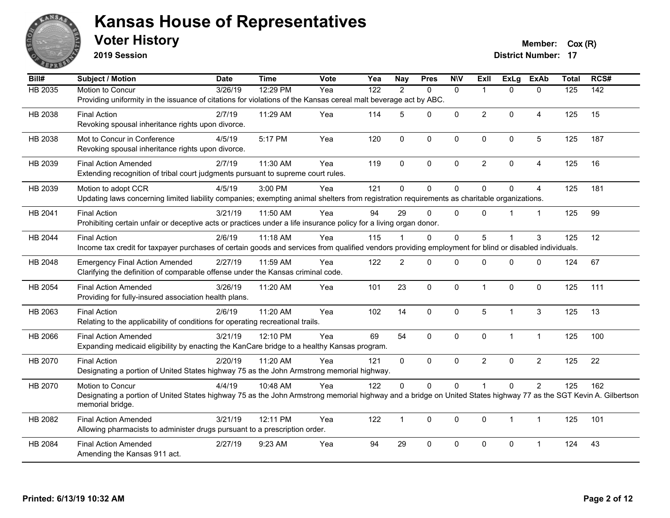

**2019 Session**

**Voter History Member:**  $Cox(R)$ 

| Bill#          | <b>Subject / Motion</b>                                                                                                                                          | <b>Date</b> | <b>Time</b> | Vote | Yea              | <b>Nay</b>     | <b>Pres</b>  | <b>NIV</b>   | <b>Exll</b>    | <b>ExLg</b>    | <b>ExAb</b>    | <b>Total</b> | RCS#             |
|----------------|------------------------------------------------------------------------------------------------------------------------------------------------------------------|-------------|-------------|------|------------------|----------------|--------------|--------------|----------------|----------------|----------------|--------------|------------------|
| <b>HB 2035</b> | Motion to Concur                                                                                                                                                 | 3/26/19     | 12:29 PM    | Yea  | $\overline{122}$ | $\overline{2}$ | $\mathbf{0}$ | $\mathbf{0}$ | 1              | $\Omega$       | $\mathbf{0}$   | 125          | $\overline{142}$ |
|                | Providing uniformity in the issuance of citations for violations of the Kansas cereal malt beverage act by ABC.                                                  |             |             |      |                  |                |              |              |                |                |                |              |                  |
| HB 2038        | <b>Final Action</b>                                                                                                                                              | 2/7/19      | 11:29 AM    | Yea  | 114              | 5              | $\Omega$     | $\mathbf 0$  | $\overline{2}$ | $\Omega$       | 4              | 125          | 15               |
|                | Revoking spousal inheritance rights upon divorce.                                                                                                                |             |             |      |                  |                |              |              |                |                |                |              |                  |
| HB 2038        | Mot to Concur in Conference                                                                                                                                      | 4/5/19      | 5:17 PM     | Yea  | 120              | $\mathbf{0}$   | 0            | $\mathbf 0$  | $\Omega$       | $\mathbf{0}$   | 5              | 125          | 187              |
|                | Revoking spousal inheritance rights upon divorce.                                                                                                                |             |             |      |                  |                |              |              |                |                |                |              |                  |
| HB 2039        | <b>Final Action Amended</b>                                                                                                                                      | 2/7/19      | 11:30 AM    | Yea  | 119              | $\mathbf{0}$   | 0            | $\mathbf{0}$ | 2              | $\Omega$       | 4              | 125          | 16               |
|                | Extending recognition of tribal court judgments pursuant to supreme court rules.                                                                                 |             |             |      |                  |                |              |              |                |                |                |              |                  |
| HB 2039        | Motion to adopt CCR                                                                                                                                              | 4/5/19      | 3:00 PM     | Yea  | 121              | $\mathbf 0$    | 0            | $\mathbf 0$  | 0              | $\Omega$       | $\overline{4}$ | 125          | 181              |
|                | Updating laws concerning limited liability companies; exempting animal shelters from registration requirements as charitable organizations.                      |             |             |      |                  |                |              |              |                |                |                |              |                  |
| HB 2041        | <b>Final Action</b>                                                                                                                                              | 3/21/19     | 11:50 AM    | Yea  | 94               | 29             | $\Omega$     | $\Omega$     | $\Omega$       |                | $\mathbf{1}$   | 125          | 99               |
|                | Prohibiting certain unfair or deceptive acts or practices under a life insurance policy for a living organ donor.                                                |             |             |      |                  |                |              |              |                |                |                |              |                  |
| HB 2044        | <b>Final Action</b>                                                                                                                                              | 2/6/19      | 11:18 AM    | Yea  | 115              |                | $\Omega$     | $\mathbf{0}$ | 5              |                | 3              | 125          | 12               |
|                | Income tax credit for taxpayer purchases of certain goods and services from qualified vendors providing employment for blind or disabled individuals.            |             |             |      |                  |                |              |              |                |                |                |              |                  |
| HB 2048        | <b>Emergency Final Action Amended</b>                                                                                                                            | 2/27/19     | 11:59 AM    | Yea  | 122              | $\overline{2}$ | 0            | $\mathbf 0$  | $\Omega$       | $\mathbf 0$    | $\mathbf 0$    | 124          | 67               |
|                | Clarifying the definition of comparable offense under the Kansas criminal code.                                                                                  |             |             |      |                  |                |              |              |                |                |                |              |                  |
| HB 2054        | <b>Final Action Amended</b>                                                                                                                                      | 3/26/19     | 11:20 AM    | Yea  | 101              | 23             | 0            | $\mathbf 0$  | $\mathbf{1}$   | $\Omega$       | $\mathbf 0$    | 125          | 111              |
|                | Providing for fully-insured association health plans.                                                                                                            |             |             |      |                  |                |              |              |                |                |                |              |                  |
| HB 2063        | <b>Final Action</b>                                                                                                                                              | 2/6/19      | 11:20 AM    | Yea  | 102              | 14             | $\Omega$     | $\mathbf 0$  | 5              | $\overline{1}$ | 3              | 125          | 13               |
|                | Relating to the applicability of conditions for operating recreational trails.                                                                                   |             |             |      |                  |                |              |              |                |                |                |              |                  |
| HB 2066        | <b>Final Action Amended</b>                                                                                                                                      | 3/21/19     | 12:10 PM    | Yea  | 69               | 54             | $\Omega$     | $\mathbf{0}$ | $\mathbf{0}$   | $\mathbf{1}$   | $\mathbf{1}$   | 125          | 100              |
|                | Expanding medicaid eligibility by enacting the KanCare bridge to a healthy Kansas program.                                                                       |             |             |      |                  |                |              |              |                |                |                |              |                  |
| HB 2070        | <b>Final Action</b>                                                                                                                                              | 2/20/19     | 11:20 AM    | Yea  | 121              | $\mathbf 0$    | 0            | $\mathbf 0$  | $\overline{2}$ | 0              | $\overline{2}$ | 125          | 22               |
|                | Designating a portion of United States highway 75 as the John Armstrong memorial highway.                                                                        |             |             |      |                  |                |              |              |                |                |                |              |                  |
| HB 2070        | Motion to Concur                                                                                                                                                 | 4/4/19      | 10:48 AM    | Yea  | 122              | $\Omega$       | $\Omega$     | $\mathbf{0}$ |                | $\mathbf 0$    | $\overline{2}$ | 125          | 162              |
|                | Designating a portion of United States highway 75 as the John Armstrong memorial highway and a bridge on United States highway 77 as the SGT Kevin A. Gilbertson |             |             |      |                  |                |              |              |                |                |                |              |                  |
|                | memorial bridge.                                                                                                                                                 |             |             |      |                  |                |              |              |                |                |                |              |                  |
| HB 2082        | <b>Final Action Amended</b>                                                                                                                                      | 3/21/19     | 12:11 PM    | Yea  | 122              | $\mathbf{1}$   | $\mathbf 0$  | $\mathbf 0$  | $\mathbf 0$    | $\mathbf{1}$   | $\mathbf{1}$   | 125          | 101              |
|                | Allowing pharmacists to administer drugs pursuant to a prescription order.                                                                                       |             |             |      |                  |                |              |              |                |                |                |              |                  |
| HB 2084        | <b>Final Action Amended</b>                                                                                                                                      | 2/27/19     | 9:23 AM     | Yea  | 94               | 29             | $\Omega$     | $\mathbf{0}$ | $\Omega$       | $\Omega$       |                | 124          | 43               |
|                | Amending the Kansas 911 act.                                                                                                                                     |             |             |      |                  |                |              |              |                |                |                |              |                  |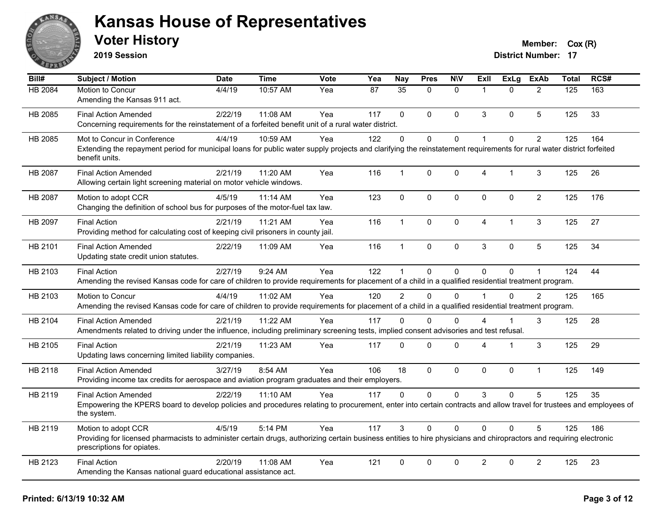

**2019 Session**

| $\overline{BiII#}$ | Subject / Motion                                                                                                                                                                                  | <b>Date</b> | <b>Time</b> | Vote | Yea | <b>Nay</b>    | <b>Pres</b> | <b>NIV</b>   | ExII           | <b>ExLg</b> | <b>ExAb</b>    | <b>Total</b> | RCS# |
|--------------------|---------------------------------------------------------------------------------------------------------------------------------------------------------------------------------------------------|-------------|-------------|------|-----|---------------|-------------|--------------|----------------|-------------|----------------|--------------|------|
| HB 2084            | Motion to Concur                                                                                                                                                                                  | 4/4/19      | 10:57 AM    | Yea  | 87  | 35            | $\Omega$    | $\mathbf{0}$ | $\overline{1}$ | $\Omega$    | $\overline{2}$ | 125          | 163  |
|                    | Amending the Kansas 911 act.                                                                                                                                                                      |             |             |      |     |               |             |              |                |             |                |              |      |
| HB 2085            | <b>Final Action Amended</b>                                                                                                                                                                       | 2/22/19     | 11:08 AM    | Yea  | 117 | $\Omega$      | $\Omega$    | $\mathbf{0}$ | 3              | $\Omega$    | 5              | 125          | 33   |
|                    | Concerning requirements for the reinstatement of a forfeited benefit unit of a rural water district.                                                                                              |             |             |      |     |               |             |              |                |             |                |              |      |
| HB 2085            | Mot to Concur in Conference                                                                                                                                                                       | 4/4/19      | 10:59 AM    | Yea  | 122 | $\Omega$      | $\Omega$    | $\mathbf 0$  | $\mathbf{1}$   | $\Omega$    | $\overline{2}$ | 125          | 164  |
|                    | Extending the repayment period for municipal loans for public water supply projects and clarifying the reinstatement requirements for rural water district forfeited<br>benefit units.            |             |             |      |     |               |             |              |                |             |                |              |      |
| HB 2087            | <b>Final Action Amended</b>                                                                                                                                                                       | 2/21/19     | 11:20 AM    | Yea  | 116 | 1             | $\mathbf 0$ | 0            | 4              | 1           | 3              | 125          | 26   |
|                    | Allowing certain light screening material on motor vehicle windows.                                                                                                                               |             |             |      |     |               |             |              |                |             |                |              |      |
| HB 2087            | Motion to adopt CCR                                                                                                                                                                               | 4/5/19      | 11:14 AM    | Yea  | 123 | $\mathbf 0$   | $\mathbf 0$ | $\pmb{0}$    | $\pmb{0}$      | 0           | $\overline{2}$ | 125          | 176  |
|                    | Changing the definition of school bus for purposes of the motor-fuel tax law.                                                                                                                     |             |             |      |     |               |             |              |                |             |                |              |      |
| HB 2097            | <b>Final Action</b>                                                                                                                                                                               | 2/21/19     | 11:21 AM    | Yea  | 116 | $\mathbf{1}$  | $\mathbf 0$ | $\pmb{0}$    | $\overline{4}$ | 1           | 3              | 125          | 27   |
|                    | Providing method for calculating cost of keeping civil prisoners in county jail.                                                                                                                  |             |             |      |     |               |             |              |                |             |                |              |      |
| HB 2101            | <b>Final Action Amended</b>                                                                                                                                                                       | 2/22/19     | 11:09 AM    | Yea  | 116 | $\mathbf{1}$  | $\mathbf 0$ | $\pmb{0}$    | 3              | $\mathbf 0$ | 5              | 125          | 34   |
|                    | Updating state credit union statutes.                                                                                                                                                             |             |             |      |     |               |             |              |                |             |                |              |      |
| HB 2103            | <b>Final Action</b>                                                                                                                                                                               | 2/27/19     | 9:24 AM     | Yea  | 122 | 1             | $\Omega$    | $\mathbf{0}$ | $\Omega$       | $\Omega$    | $\mathbf{1}$   | 124          | 44   |
|                    | Amending the revised Kansas code for care of children to provide requirements for placement of a child in a qualified residential treatment program.                                              |             |             |      |     |               |             |              |                |             |                |              |      |
| HB 2103            | Motion to Concur                                                                                                                                                                                  | 4/4/19      | 11:02 AM    | Yea  | 120 | $\mathcal{P}$ | $\Omega$    | $\Omega$     | $\overline{1}$ | $\Omega$    | $\overline{2}$ | 125          | 165  |
|                    | Amending the revised Kansas code for care of children to provide requirements for placement of a child in a qualified residential treatment program.                                              |             |             |      |     |               |             |              |                |             |                |              |      |
| HB 2104            | <b>Final Action Amended</b>                                                                                                                                                                       | 2/21/19     | 11:22 AM    | Yea  | 117 | $\Omega$      | $\Omega$    | $\Omega$     | 4              |             | 3              | 125          | 28   |
|                    | Amendments related to driving under the influence, including preliminary screening tests, implied consent advisories and test refusal.                                                            |             |             |      |     |               |             |              |                |             |                |              |      |
| HB 2105            | <b>Final Action</b>                                                                                                                                                                               | 2/21/19     | 11:23 AM    | Yea  | 117 | $\Omega$      | $\Omega$    | $\mathbf 0$  | 4              | 1           | 3              | 125          | 29   |
|                    | Updating laws concerning limited liability companies.                                                                                                                                             |             |             |      |     |               |             |              |                |             |                |              |      |
| HB 2118            | <b>Final Action Amended</b>                                                                                                                                                                       | 3/27/19     | 8:54 AM     | Yea  | 106 | 18            | $\Omega$    | $\mathbf{0}$ | $\Omega$       | $\Omega$    | $\mathbf{1}$   | 125          | 149  |
|                    | Providing income tax credits for aerospace and aviation program graduates and their employers.                                                                                                    |             |             |      |     |               |             |              |                |             |                |              |      |
| HB 2119            | <b>Final Action Amended</b>                                                                                                                                                                       | 2/22/19     | 11:10 AM    | Yea  | 117 | $\Omega$      | $\Omega$    | $\mathbf 0$  | 3              | $\Omega$    | 5              | 125          | 35   |
|                    | Empowering the KPERS board to develop policies and procedures relating to procurement, enter into certain contracts and allow travel for trustees and employees of<br>the system.                 |             |             |      |     |               |             |              |                |             |                |              |      |
| HB 2119            | Motion to adopt CCR                                                                                                                                                                               | 4/5/19      | 5:14 PM     | Yea  | 117 | 3             | $\Omega$    | $\Omega$     | $\Omega$       | $\Omega$    | 5              | 125          | 186  |
|                    | Providing for licensed pharmacists to administer certain drugs, authorizing certain business entities to hire physicians and chiropractors and requiring electronic<br>prescriptions for opiates. |             |             |      |     |               |             |              |                |             |                |              |      |
| HB 2123            | <b>Final Action</b>                                                                                                                                                                               | 2/20/19     | 11:08 AM    | Yea  | 121 | $\mathbf{0}$  | $\Omega$    | $\mathbf{0}$ | $\overline{c}$ | $\Omega$    | $\overline{2}$ | 125          | 23   |
|                    | Amending the Kansas national guard educational assistance act.                                                                                                                                    |             |             |      |     |               |             |              |                |             |                |              |      |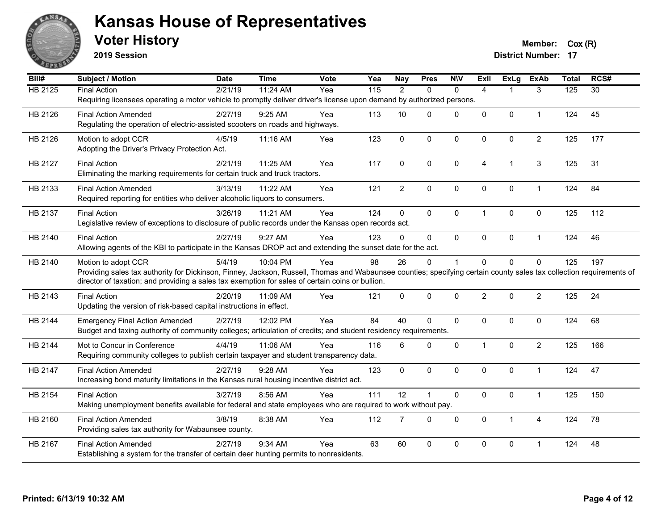

**2019 Session**

| <b>HB 2125</b><br><b>Final Action</b><br>2/21/19<br>11:24 AM<br>$\frac{115}{115}$<br>$\overline{2}$<br>3<br>125<br>$\overline{30}$<br>Yea<br>$\mathbf{0}$<br>$\mathbf{0}$<br>$\overline{4}$<br>1<br>Requiring licensees operating a motor vehicle to promptly deliver driver's license upon demand by authorized persons.<br>0<br>45<br>HB 2126<br>2/27/19<br>9:25 AM<br>113<br>10<br>$\Omega$<br>$\mathbf 0$<br>0<br>124<br><b>Final Action Amended</b><br>Yea<br>$\mathbf{1}$<br>Regulating the operation of electric-assisted scooters on roads and highways.<br>$\Omega$<br>$\mathbf 0$<br>$\overline{2}$<br>125<br>HB 2126<br>4/5/19<br>11:16 AM<br>123<br>$\mathbf 0$<br>$\Omega$<br>$\mathbf 0$<br>177<br>Motion to adopt CCR<br>Yea<br>Adopting the Driver's Privacy Protection Act.<br>11:25 AM<br>Yea<br>117<br>0<br>$\Omega$<br>$\mathbf 0$<br>3<br>125<br>31<br>HB 2127<br><b>Final Action</b><br>2/21/19<br>4<br>1<br>Eliminating the marking requirements for certain truck and truck tractors.<br>$\overline{2}$<br>$\mathbf 0$<br>$\pmb{0}$<br>$\mathbf 0$<br>124<br>84<br>HB 2133<br><b>Final Action Amended</b><br>3/13/19<br>11:22 AM<br>Yea<br>121<br>0<br>$\mathbf{1}$<br>Required reporting for entities who deliver alcoholic liquors to consumers.<br>124<br>0<br>$\Omega$<br>$\mathbf{0}$<br>$\mathbf{0}$<br>0<br>112<br>HB 2137<br><b>Final Action</b><br>3/26/19<br>11:21 AM<br>Yea<br>$\mathbf{1}$<br>125<br>Legislative review of exceptions to disclosure of public records under the Kansas open records act.<br>2/27/19<br>9:27 AM<br>123<br>$\Omega$<br>124<br>46<br>HB 2140<br>$\Omega$<br>$\mathbf{0}$<br>$\Omega$<br>0<br><b>Final Action</b><br>Yea<br>$\mathbf{1}$<br>Allowing agents of the KBI to participate in the Kansas DROP act and extending the sunset date for the act.<br>5/4/19<br>10:04 PM<br>Yea<br>98<br>26<br>$\Omega$<br>$\Omega$<br>0<br>0<br>125<br>197<br>HB 2140<br>Motion to adopt CCR<br>$\mathbf{1}$<br>Providing sales tax authority for Dickinson, Finney, Jackson, Russell, Thomas and Wabaunsee counties; specifying certain county sales tax collection requirements of<br>director of taxation; and providing a sales tax exemption for sales of certain coins or bullion.<br>2<br>$\overline{2}$<br>24<br><b>Final Action</b><br>$\Omega$<br>$\Omega$<br>$\mathbf{0}$<br>$\mathbf{0}$<br>125<br>HB 2143<br>2/20/19<br>11:09 AM<br>Yea<br>121<br>Updating the version of risk-based capital instructions in effect.<br>Yea<br>84<br>40<br>$\Omega$<br>124<br>68<br>HB 2144<br>2/27/19<br>12:02 PM<br>$\mathbf 0$<br>$\mathbf 0$<br>0<br>0<br><b>Emergency Final Action Amended</b><br>Budget and taxing authority of community colleges; articulation of credits; and student residency requirements.<br>11:06 AM<br>$\Omega$<br>$\mathbf 0$<br>$\mathbf 0$<br>$\overline{2}$<br>125<br>166<br>HB 2144<br>Mot to Concur in Conference<br>4/4/19<br>Yea<br>116<br>6<br>$\mathbf{1}$<br>Requiring community colleges to publish certain taxpayer and student transparency data.<br>$\Omega$<br>$\mathbf{0}$<br>$\Omega$<br>$\mathbf{0}$<br>124<br>47<br>HB 2147<br><b>Final Action Amended</b><br>2/27/19<br>9:28 AM<br>123<br>$\Omega$<br>$\mathbf{1}$<br>Yea<br>Increasing bond maturity limitations in the Kansas rural housing incentive district act.<br>111<br>12<br>$\mathbf 0$<br>0<br>HB 2154<br>3/27/19<br>8:56 AM<br>$\blacktriangleleft$<br>$\mathbf 0$<br>$\mathbf{1}$<br>125<br>150<br><b>Final Action</b><br>Yea<br>Making unemployment benefits available for federal and state employees who are required to work without pay.<br>3/8/19<br>112<br>$\overline{7}$<br>$\Omega$<br>$\mathbf 0$<br>$\mathbf 0$<br>124<br>78<br>HB 2160<br><b>Final Action Amended</b><br>8:38 AM<br>Yea<br>$\mathbf{1}$<br>$\overline{4}$<br>Providing sales tax authority for Wabaunsee county.<br>HB 2167<br>$9:34$ AM<br>63<br>60<br>$\Omega$<br>$\mathbf{0}$<br>$\Omega$<br>0<br>124<br>48<br><b>Final Action Amended</b><br>2/27/19<br>Yea<br>-1<br>Establishing a system for the transfer of certain deer hunting permits to nonresidents. | Bill# | <b>Subject / Motion</b> | <b>Date</b> | <b>Time</b> | Vote | Yea | <b>Nay</b> | <b>Pres</b> | <b>NIV</b> | <b>Exll</b> | <b>ExLg</b> | <b>ExAb</b> | <b>Total</b> | RCS# |
|------------------------------------------------------------------------------------------------------------------------------------------------------------------------------------------------------------------------------------------------------------------------------------------------------------------------------------------------------------------------------------------------------------------------------------------------------------------------------------------------------------------------------------------------------------------------------------------------------------------------------------------------------------------------------------------------------------------------------------------------------------------------------------------------------------------------------------------------------------------------------------------------------------------------------------------------------------------------------------------------------------------------------------------------------------------------------------------------------------------------------------------------------------------------------------------------------------------------------------------------------------------------------------------------------------------------------------------------------------------------------------------------------------------------------------------------------------------------------------------------------------------------------------------------------------------------------------------------------------------------------------------------------------------------------------------------------------------------------------------------------------------------------------------------------------------------------------------------------------------------------------------------------------------------------------------------------------------------------------------------------------------------------------------------------------------------------------------------------------------------------------------------------------------------------------------------------------------------------------------------------------------------------------------------------------------------------------------------------------------------------------------------------------------------------------------------------------------------------------------------------------------------------------------------------------------------------------------------------------------------------------------------------------------------------------------------------------------------------------------------------------------------------------------------------------------------------------------------------------------------------------------------------------------------------------------------------------------------------------------------------------------------------------------------------------------------------------------------------------------------------------------------------------------------------------------------------------------------------------------------------------------------------------------------------------------------------------------------------------------------------------------------------------------------------------------------------------------------------------------------------------------------------------------------------------------------------------------------------------------------------------------------------------------------------------------------------------------------------------------------------------------------------------------------------------------------------------------------------------------------------------------------------------------------------------------------------------------------------------------------------------------------------------------------------------------------------------------------------------------|-------|-------------------------|-------------|-------------|------|-----|------------|-------------|------------|-------------|-------------|-------------|--------------|------|
|                                                                                                                                                                                                                                                                                                                                                                                                                                                                                                                                                                                                                                                                                                                                                                                                                                                                                                                                                                                                                                                                                                                                                                                                                                                                                                                                                                                                                                                                                                                                                                                                                                                                                                                                                                                                                                                                                                                                                                                                                                                                                                                                                                                                                                                                                                                                                                                                                                                                                                                                                                                                                                                                                                                                                                                                                                                                                                                                                                                                                                                                                                                                                                                                                                                                                                                                                                                                                                                                                                                                                                                                                                                                                                                                                                                                                                                                                                                                                                                                                                                                                                                  |       |                         |             |             |      |     |            |             |            |             |             |             |              |      |
|                                                                                                                                                                                                                                                                                                                                                                                                                                                                                                                                                                                                                                                                                                                                                                                                                                                                                                                                                                                                                                                                                                                                                                                                                                                                                                                                                                                                                                                                                                                                                                                                                                                                                                                                                                                                                                                                                                                                                                                                                                                                                                                                                                                                                                                                                                                                                                                                                                                                                                                                                                                                                                                                                                                                                                                                                                                                                                                                                                                                                                                                                                                                                                                                                                                                                                                                                                                                                                                                                                                                                                                                                                                                                                                                                                                                                                                                                                                                                                                                                                                                                                                  |       |                         |             |             |      |     |            |             |            |             |             |             |              |      |
|                                                                                                                                                                                                                                                                                                                                                                                                                                                                                                                                                                                                                                                                                                                                                                                                                                                                                                                                                                                                                                                                                                                                                                                                                                                                                                                                                                                                                                                                                                                                                                                                                                                                                                                                                                                                                                                                                                                                                                                                                                                                                                                                                                                                                                                                                                                                                                                                                                                                                                                                                                                                                                                                                                                                                                                                                                                                                                                                                                                                                                                                                                                                                                                                                                                                                                                                                                                                                                                                                                                                                                                                                                                                                                                                                                                                                                                                                                                                                                                                                                                                                                                  |       |                         |             |             |      |     |            |             |            |             |             |             |              |      |
|                                                                                                                                                                                                                                                                                                                                                                                                                                                                                                                                                                                                                                                                                                                                                                                                                                                                                                                                                                                                                                                                                                                                                                                                                                                                                                                                                                                                                                                                                                                                                                                                                                                                                                                                                                                                                                                                                                                                                                                                                                                                                                                                                                                                                                                                                                                                                                                                                                                                                                                                                                                                                                                                                                                                                                                                                                                                                                                                                                                                                                                                                                                                                                                                                                                                                                                                                                                                                                                                                                                                                                                                                                                                                                                                                                                                                                                                                                                                                                                                                                                                                                                  |       |                         |             |             |      |     |            |             |            |             |             |             |              |      |
|                                                                                                                                                                                                                                                                                                                                                                                                                                                                                                                                                                                                                                                                                                                                                                                                                                                                                                                                                                                                                                                                                                                                                                                                                                                                                                                                                                                                                                                                                                                                                                                                                                                                                                                                                                                                                                                                                                                                                                                                                                                                                                                                                                                                                                                                                                                                                                                                                                                                                                                                                                                                                                                                                                                                                                                                                                                                                                                                                                                                                                                                                                                                                                                                                                                                                                                                                                                                                                                                                                                                                                                                                                                                                                                                                                                                                                                                                                                                                                                                                                                                                                                  |       |                         |             |             |      |     |            |             |            |             |             |             |              |      |
|                                                                                                                                                                                                                                                                                                                                                                                                                                                                                                                                                                                                                                                                                                                                                                                                                                                                                                                                                                                                                                                                                                                                                                                                                                                                                                                                                                                                                                                                                                                                                                                                                                                                                                                                                                                                                                                                                                                                                                                                                                                                                                                                                                                                                                                                                                                                                                                                                                                                                                                                                                                                                                                                                                                                                                                                                                                                                                                                                                                                                                                                                                                                                                                                                                                                                                                                                                                                                                                                                                                                                                                                                                                                                                                                                                                                                                                                                                                                                                                                                                                                                                                  |       |                         |             |             |      |     |            |             |            |             |             |             |              |      |
|                                                                                                                                                                                                                                                                                                                                                                                                                                                                                                                                                                                                                                                                                                                                                                                                                                                                                                                                                                                                                                                                                                                                                                                                                                                                                                                                                                                                                                                                                                                                                                                                                                                                                                                                                                                                                                                                                                                                                                                                                                                                                                                                                                                                                                                                                                                                                                                                                                                                                                                                                                                                                                                                                                                                                                                                                                                                                                                                                                                                                                                                                                                                                                                                                                                                                                                                                                                                                                                                                                                                                                                                                                                                                                                                                                                                                                                                                                                                                                                                                                                                                                                  |       |                         |             |             |      |     |            |             |            |             |             |             |              |      |
|                                                                                                                                                                                                                                                                                                                                                                                                                                                                                                                                                                                                                                                                                                                                                                                                                                                                                                                                                                                                                                                                                                                                                                                                                                                                                                                                                                                                                                                                                                                                                                                                                                                                                                                                                                                                                                                                                                                                                                                                                                                                                                                                                                                                                                                                                                                                                                                                                                                                                                                                                                                                                                                                                                                                                                                                                                                                                                                                                                                                                                                                                                                                                                                                                                                                                                                                                                                                                                                                                                                                                                                                                                                                                                                                                                                                                                                                                                                                                                                                                                                                                                                  |       |                         |             |             |      |     |            |             |            |             |             |             |              |      |
|                                                                                                                                                                                                                                                                                                                                                                                                                                                                                                                                                                                                                                                                                                                                                                                                                                                                                                                                                                                                                                                                                                                                                                                                                                                                                                                                                                                                                                                                                                                                                                                                                                                                                                                                                                                                                                                                                                                                                                                                                                                                                                                                                                                                                                                                                                                                                                                                                                                                                                                                                                                                                                                                                                                                                                                                                                                                                                                                                                                                                                                                                                                                                                                                                                                                                                                                                                                                                                                                                                                                                                                                                                                                                                                                                                                                                                                                                                                                                                                                                                                                                                                  |       |                         |             |             |      |     |            |             |            |             |             |             |              |      |
|                                                                                                                                                                                                                                                                                                                                                                                                                                                                                                                                                                                                                                                                                                                                                                                                                                                                                                                                                                                                                                                                                                                                                                                                                                                                                                                                                                                                                                                                                                                                                                                                                                                                                                                                                                                                                                                                                                                                                                                                                                                                                                                                                                                                                                                                                                                                                                                                                                                                                                                                                                                                                                                                                                                                                                                                                                                                                                                                                                                                                                                                                                                                                                                                                                                                                                                                                                                                                                                                                                                                                                                                                                                                                                                                                                                                                                                                                                                                                                                                                                                                                                                  |       |                         |             |             |      |     |            |             |            |             |             |             |              |      |
|                                                                                                                                                                                                                                                                                                                                                                                                                                                                                                                                                                                                                                                                                                                                                                                                                                                                                                                                                                                                                                                                                                                                                                                                                                                                                                                                                                                                                                                                                                                                                                                                                                                                                                                                                                                                                                                                                                                                                                                                                                                                                                                                                                                                                                                                                                                                                                                                                                                                                                                                                                                                                                                                                                                                                                                                                                                                                                                                                                                                                                                                                                                                                                                                                                                                                                                                                                                                                                                                                                                                                                                                                                                                                                                                                                                                                                                                                                                                                                                                                                                                                                                  |       |                         |             |             |      |     |            |             |            |             |             |             |              |      |
|                                                                                                                                                                                                                                                                                                                                                                                                                                                                                                                                                                                                                                                                                                                                                                                                                                                                                                                                                                                                                                                                                                                                                                                                                                                                                                                                                                                                                                                                                                                                                                                                                                                                                                                                                                                                                                                                                                                                                                                                                                                                                                                                                                                                                                                                                                                                                                                                                                                                                                                                                                                                                                                                                                                                                                                                                                                                                                                                                                                                                                                                                                                                                                                                                                                                                                                                                                                                                                                                                                                                                                                                                                                                                                                                                                                                                                                                                                                                                                                                                                                                                                                  |       |                         |             |             |      |     |            |             |            |             |             |             |              |      |
|                                                                                                                                                                                                                                                                                                                                                                                                                                                                                                                                                                                                                                                                                                                                                                                                                                                                                                                                                                                                                                                                                                                                                                                                                                                                                                                                                                                                                                                                                                                                                                                                                                                                                                                                                                                                                                                                                                                                                                                                                                                                                                                                                                                                                                                                                                                                                                                                                                                                                                                                                                                                                                                                                                                                                                                                                                                                                                                                                                                                                                                                                                                                                                                                                                                                                                                                                                                                                                                                                                                                                                                                                                                                                                                                                                                                                                                                                                                                                                                                                                                                                                                  |       |                         |             |             |      |     |            |             |            |             |             |             |              |      |
|                                                                                                                                                                                                                                                                                                                                                                                                                                                                                                                                                                                                                                                                                                                                                                                                                                                                                                                                                                                                                                                                                                                                                                                                                                                                                                                                                                                                                                                                                                                                                                                                                                                                                                                                                                                                                                                                                                                                                                                                                                                                                                                                                                                                                                                                                                                                                                                                                                                                                                                                                                                                                                                                                                                                                                                                                                                                                                                                                                                                                                                                                                                                                                                                                                                                                                                                                                                                                                                                                                                                                                                                                                                                                                                                                                                                                                                                                                                                                                                                                                                                                                                  |       |                         |             |             |      |     |            |             |            |             |             |             |              |      |
|                                                                                                                                                                                                                                                                                                                                                                                                                                                                                                                                                                                                                                                                                                                                                                                                                                                                                                                                                                                                                                                                                                                                                                                                                                                                                                                                                                                                                                                                                                                                                                                                                                                                                                                                                                                                                                                                                                                                                                                                                                                                                                                                                                                                                                                                                                                                                                                                                                                                                                                                                                                                                                                                                                                                                                                                                                                                                                                                                                                                                                                                                                                                                                                                                                                                                                                                                                                                                                                                                                                                                                                                                                                                                                                                                                                                                                                                                                                                                                                                                                                                                                                  |       |                         |             |             |      |     |            |             |            |             |             |             |              |      |
|                                                                                                                                                                                                                                                                                                                                                                                                                                                                                                                                                                                                                                                                                                                                                                                                                                                                                                                                                                                                                                                                                                                                                                                                                                                                                                                                                                                                                                                                                                                                                                                                                                                                                                                                                                                                                                                                                                                                                                                                                                                                                                                                                                                                                                                                                                                                                                                                                                                                                                                                                                                                                                                                                                                                                                                                                                                                                                                                                                                                                                                                                                                                                                                                                                                                                                                                                                                                                                                                                                                                                                                                                                                                                                                                                                                                                                                                                                                                                                                                                                                                                                                  |       |                         |             |             |      |     |            |             |            |             |             |             |              |      |
|                                                                                                                                                                                                                                                                                                                                                                                                                                                                                                                                                                                                                                                                                                                                                                                                                                                                                                                                                                                                                                                                                                                                                                                                                                                                                                                                                                                                                                                                                                                                                                                                                                                                                                                                                                                                                                                                                                                                                                                                                                                                                                                                                                                                                                                                                                                                                                                                                                                                                                                                                                                                                                                                                                                                                                                                                                                                                                                                                                                                                                                                                                                                                                                                                                                                                                                                                                                                                                                                                                                                                                                                                                                                                                                                                                                                                                                                                                                                                                                                                                                                                                                  |       |                         |             |             |      |     |            |             |            |             |             |             |              |      |
|                                                                                                                                                                                                                                                                                                                                                                                                                                                                                                                                                                                                                                                                                                                                                                                                                                                                                                                                                                                                                                                                                                                                                                                                                                                                                                                                                                                                                                                                                                                                                                                                                                                                                                                                                                                                                                                                                                                                                                                                                                                                                                                                                                                                                                                                                                                                                                                                                                                                                                                                                                                                                                                                                                                                                                                                                                                                                                                                                                                                                                                                                                                                                                                                                                                                                                                                                                                                                                                                                                                                                                                                                                                                                                                                                                                                                                                                                                                                                                                                                                                                                                                  |       |                         |             |             |      |     |            |             |            |             |             |             |              |      |
|                                                                                                                                                                                                                                                                                                                                                                                                                                                                                                                                                                                                                                                                                                                                                                                                                                                                                                                                                                                                                                                                                                                                                                                                                                                                                                                                                                                                                                                                                                                                                                                                                                                                                                                                                                                                                                                                                                                                                                                                                                                                                                                                                                                                                                                                                                                                                                                                                                                                                                                                                                                                                                                                                                                                                                                                                                                                                                                                                                                                                                                                                                                                                                                                                                                                                                                                                                                                                                                                                                                                                                                                                                                                                                                                                                                                                                                                                                                                                                                                                                                                                                                  |       |                         |             |             |      |     |            |             |            |             |             |             |              |      |
|                                                                                                                                                                                                                                                                                                                                                                                                                                                                                                                                                                                                                                                                                                                                                                                                                                                                                                                                                                                                                                                                                                                                                                                                                                                                                                                                                                                                                                                                                                                                                                                                                                                                                                                                                                                                                                                                                                                                                                                                                                                                                                                                                                                                                                                                                                                                                                                                                                                                                                                                                                                                                                                                                                                                                                                                                                                                                                                                                                                                                                                                                                                                                                                                                                                                                                                                                                                                                                                                                                                                                                                                                                                                                                                                                                                                                                                                                                                                                                                                                                                                                                                  |       |                         |             |             |      |     |            |             |            |             |             |             |              |      |
|                                                                                                                                                                                                                                                                                                                                                                                                                                                                                                                                                                                                                                                                                                                                                                                                                                                                                                                                                                                                                                                                                                                                                                                                                                                                                                                                                                                                                                                                                                                                                                                                                                                                                                                                                                                                                                                                                                                                                                                                                                                                                                                                                                                                                                                                                                                                                                                                                                                                                                                                                                                                                                                                                                                                                                                                                                                                                                                                                                                                                                                                                                                                                                                                                                                                                                                                                                                                                                                                                                                                                                                                                                                                                                                                                                                                                                                                                                                                                                                                                                                                                                                  |       |                         |             |             |      |     |            |             |            |             |             |             |              |      |
|                                                                                                                                                                                                                                                                                                                                                                                                                                                                                                                                                                                                                                                                                                                                                                                                                                                                                                                                                                                                                                                                                                                                                                                                                                                                                                                                                                                                                                                                                                                                                                                                                                                                                                                                                                                                                                                                                                                                                                                                                                                                                                                                                                                                                                                                                                                                                                                                                                                                                                                                                                                                                                                                                                                                                                                                                                                                                                                                                                                                                                                                                                                                                                                                                                                                                                                                                                                                                                                                                                                                                                                                                                                                                                                                                                                                                                                                                                                                                                                                                                                                                                                  |       |                         |             |             |      |     |            |             |            |             |             |             |              |      |
|                                                                                                                                                                                                                                                                                                                                                                                                                                                                                                                                                                                                                                                                                                                                                                                                                                                                                                                                                                                                                                                                                                                                                                                                                                                                                                                                                                                                                                                                                                                                                                                                                                                                                                                                                                                                                                                                                                                                                                                                                                                                                                                                                                                                                                                                                                                                                                                                                                                                                                                                                                                                                                                                                                                                                                                                                                                                                                                                                                                                                                                                                                                                                                                                                                                                                                                                                                                                                                                                                                                                                                                                                                                                                                                                                                                                                                                                                                                                                                                                                                                                                                                  |       |                         |             |             |      |     |            |             |            |             |             |             |              |      |
|                                                                                                                                                                                                                                                                                                                                                                                                                                                                                                                                                                                                                                                                                                                                                                                                                                                                                                                                                                                                                                                                                                                                                                                                                                                                                                                                                                                                                                                                                                                                                                                                                                                                                                                                                                                                                                                                                                                                                                                                                                                                                                                                                                                                                                                                                                                                                                                                                                                                                                                                                                                                                                                                                                                                                                                                                                                                                                                                                                                                                                                                                                                                                                                                                                                                                                                                                                                                                                                                                                                                                                                                                                                                                                                                                                                                                                                                                                                                                                                                                                                                                                                  |       |                         |             |             |      |     |            |             |            |             |             |             |              |      |
|                                                                                                                                                                                                                                                                                                                                                                                                                                                                                                                                                                                                                                                                                                                                                                                                                                                                                                                                                                                                                                                                                                                                                                                                                                                                                                                                                                                                                                                                                                                                                                                                                                                                                                                                                                                                                                                                                                                                                                                                                                                                                                                                                                                                                                                                                                                                                                                                                                                                                                                                                                                                                                                                                                                                                                                                                                                                                                                                                                                                                                                                                                                                                                                                                                                                                                                                                                                                                                                                                                                                                                                                                                                                                                                                                                                                                                                                                                                                                                                                                                                                                                                  |       |                         |             |             |      |     |            |             |            |             |             |             |              |      |
|                                                                                                                                                                                                                                                                                                                                                                                                                                                                                                                                                                                                                                                                                                                                                                                                                                                                                                                                                                                                                                                                                                                                                                                                                                                                                                                                                                                                                                                                                                                                                                                                                                                                                                                                                                                                                                                                                                                                                                                                                                                                                                                                                                                                                                                                                                                                                                                                                                                                                                                                                                                                                                                                                                                                                                                                                                                                                                                                                                                                                                                                                                                                                                                                                                                                                                                                                                                                                                                                                                                                                                                                                                                                                                                                                                                                                                                                                                                                                                                                                                                                                                                  |       |                         |             |             |      |     |            |             |            |             |             |             |              |      |
|                                                                                                                                                                                                                                                                                                                                                                                                                                                                                                                                                                                                                                                                                                                                                                                                                                                                                                                                                                                                                                                                                                                                                                                                                                                                                                                                                                                                                                                                                                                                                                                                                                                                                                                                                                                                                                                                                                                                                                                                                                                                                                                                                                                                                                                                                                                                                                                                                                                                                                                                                                                                                                                                                                                                                                                                                                                                                                                                                                                                                                                                                                                                                                                                                                                                                                                                                                                                                                                                                                                                                                                                                                                                                                                                                                                                                                                                                                                                                                                                                                                                                                                  |       |                         |             |             |      |     |            |             |            |             |             |             |              |      |
|                                                                                                                                                                                                                                                                                                                                                                                                                                                                                                                                                                                                                                                                                                                                                                                                                                                                                                                                                                                                                                                                                                                                                                                                                                                                                                                                                                                                                                                                                                                                                                                                                                                                                                                                                                                                                                                                                                                                                                                                                                                                                                                                                                                                                                                                                                                                                                                                                                                                                                                                                                                                                                                                                                                                                                                                                                                                                                                                                                                                                                                                                                                                                                                                                                                                                                                                                                                                                                                                                                                                                                                                                                                                                                                                                                                                                                                                                                                                                                                                                                                                                                                  |       |                         |             |             |      |     |            |             |            |             |             |             |              |      |
|                                                                                                                                                                                                                                                                                                                                                                                                                                                                                                                                                                                                                                                                                                                                                                                                                                                                                                                                                                                                                                                                                                                                                                                                                                                                                                                                                                                                                                                                                                                                                                                                                                                                                                                                                                                                                                                                                                                                                                                                                                                                                                                                                                                                                                                                                                                                                                                                                                                                                                                                                                                                                                                                                                                                                                                                                                                                                                                                                                                                                                                                                                                                                                                                                                                                                                                                                                                                                                                                                                                                                                                                                                                                                                                                                                                                                                                                                                                                                                                                                                                                                                                  |       |                         |             |             |      |     |            |             |            |             |             |             |              |      |
|                                                                                                                                                                                                                                                                                                                                                                                                                                                                                                                                                                                                                                                                                                                                                                                                                                                                                                                                                                                                                                                                                                                                                                                                                                                                                                                                                                                                                                                                                                                                                                                                                                                                                                                                                                                                                                                                                                                                                                                                                                                                                                                                                                                                                                                                                                                                                                                                                                                                                                                                                                                                                                                                                                                                                                                                                                                                                                                                                                                                                                                                                                                                                                                                                                                                                                                                                                                                                                                                                                                                                                                                                                                                                                                                                                                                                                                                                                                                                                                                                                                                                                                  |       |                         |             |             |      |     |            |             |            |             |             |             |              |      |
|                                                                                                                                                                                                                                                                                                                                                                                                                                                                                                                                                                                                                                                                                                                                                                                                                                                                                                                                                                                                                                                                                                                                                                                                                                                                                                                                                                                                                                                                                                                                                                                                                                                                                                                                                                                                                                                                                                                                                                                                                                                                                                                                                                                                                                                                                                                                                                                                                                                                                                                                                                                                                                                                                                                                                                                                                                                                                                                                                                                                                                                                                                                                                                                                                                                                                                                                                                                                                                                                                                                                                                                                                                                                                                                                                                                                                                                                                                                                                                                                                                                                                                                  |       |                         |             |             |      |     |            |             |            |             |             |             |              |      |
|                                                                                                                                                                                                                                                                                                                                                                                                                                                                                                                                                                                                                                                                                                                                                                                                                                                                                                                                                                                                                                                                                                                                                                                                                                                                                                                                                                                                                                                                                                                                                                                                                                                                                                                                                                                                                                                                                                                                                                                                                                                                                                                                                                                                                                                                                                                                                                                                                                                                                                                                                                                                                                                                                                                                                                                                                                                                                                                                                                                                                                                                                                                                                                                                                                                                                                                                                                                                                                                                                                                                                                                                                                                                                                                                                                                                                                                                                                                                                                                                                                                                                                                  |       |                         |             |             |      |     |            |             |            |             |             |             |              |      |
|                                                                                                                                                                                                                                                                                                                                                                                                                                                                                                                                                                                                                                                                                                                                                                                                                                                                                                                                                                                                                                                                                                                                                                                                                                                                                                                                                                                                                                                                                                                                                                                                                                                                                                                                                                                                                                                                                                                                                                                                                                                                                                                                                                                                                                                                                                                                                                                                                                                                                                                                                                                                                                                                                                                                                                                                                                                                                                                                                                                                                                                                                                                                                                                                                                                                                                                                                                                                                                                                                                                                                                                                                                                                                                                                                                                                                                                                                                                                                                                                                                                                                                                  |       |                         |             |             |      |     |            |             |            |             |             |             |              |      |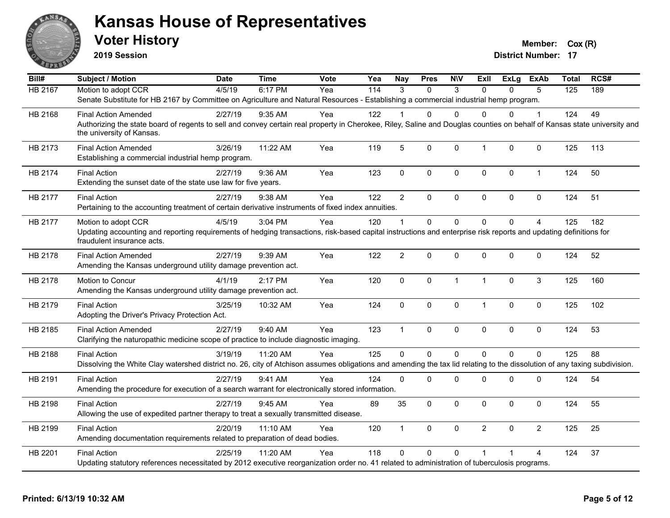

**2019 Session**

**Voter History Member:**  $Cox(R)$ 

| Bill#          | <b>Subject / Motion</b>                                                                                                                                                                                               | <b>Date</b> | <b>Time</b> | Vote | Yea | <b>Nay</b>              | <b>Pres</b>    | <b>NIV</b>   | ExII           | ExLg         | <b>ExAb</b>    | <b>Total</b> | RCS# |
|----------------|-----------------------------------------------------------------------------------------------------------------------------------------------------------------------------------------------------------------------|-------------|-------------|------|-----|-------------------------|----------------|--------------|----------------|--------------|----------------|--------------|------|
| <b>HB 2167</b> | Motion to adopt CCR                                                                                                                                                                                                   | 4/5/19      | 6:17 PM     | Yea  | 114 | $\mathcal{R}$           | $\Omega$       | 3            | $\Omega$       | $\Omega$     | 5              | 125          | 189  |
|                | Senate Substitute for HB 2167 by Committee on Agriculture and Natural Resources - Establishing a commercial industrial hemp program.                                                                                  |             |             |      |     |                         |                |              |                |              |                |              |      |
| HB 2168        | <b>Final Action Amended</b>                                                                                                                                                                                           | 2/27/19     | $9:35$ AM   | Yea  | 122 |                         | 0              | $\Omega$     | $\Omega$       | $\Omega$     |                | 124          | 49   |
|                | Authorizing the state board of regents to sell and convey certain real property in Cherokee, Riley, Saline and Douglas counties on behalf of Kansas state university and<br>the university of Kansas.                 |             |             |      |     |                         |                |              |                |              |                |              |      |
| HB 2173        | <b>Final Action Amended</b><br>Establishing a commercial industrial hemp program.                                                                                                                                     | 3/26/19     | 11:22 AM    | Yea  | 119 | 5                       | 0              | 0            | $\mathbf{1}$   | 0            | $\mathbf 0$    | 125          | 113  |
| HB 2174        | <b>Final Action</b><br>Extending the sunset date of the state use law for five years.                                                                                                                                 | 2/27/19     | $9:36$ AM   | Yea  | 123 | $\mathbf 0$             | 0              | 0            | $\mathbf 0$    | $\mathbf{0}$ | $\mathbf 1$    | 124          | 50   |
| HB 2177        | <b>Final Action</b><br>Pertaining to the accounting treatment of certain derivative instruments of fixed index annuities.                                                                                             | 2/27/19     | 9:38 AM     | Yea  | 122 | $\overline{2}$          | $\Omega$       | 0            | $\Omega$       | $\Omega$     | $\mathbf{0}$   | 124          | 51   |
| HB 2177        | Motion to adopt CCR<br>Updating accounting and reporting requirements of hedging transactions, risk-based capital instructions and enterprise risk reports and updating definitions for<br>fraudulent insurance acts. | 4/5/19      | 3:04 PM     | Yea  | 120 | $\overline{\mathbf{1}}$ | $\Omega$       | $\Omega$     | $\Omega$       | $\Omega$     | 4              | 125          | 182  |
| HB 2178        | <b>Final Action Amended</b><br>Amending the Kansas underground utility damage prevention act.                                                                                                                         | 2/27/19     | 9:39 AM     | Yea  | 122 | $\overline{2}$          | 0              | 0            | $\mathbf{0}$   | $\Omega$     | $\mathbf 0$    | 124          | 52   |
| HB 2178        | Motion to Concur<br>Amending the Kansas underground utility damage prevention act.                                                                                                                                    | 4/1/19      | 2:17 PM     | Yea  | 120 | $\mathbf 0$             | 0              | $\mathbf{1}$ | $\mathbf{1}$   | $\Omega$     | $\overline{3}$ | 125          | 160  |
| HB 2179        | <b>Final Action</b><br>Adopting the Driver's Privacy Protection Act.                                                                                                                                                  | 3/25/19     | 10:32 AM    | Yea  | 124 | $\mathbf 0$             | 0              | 0            | $\mathbf{1}$   | $\mathbf 0$  | 0              | 125          | 102  |
| HB 2185        | <b>Final Action Amended</b><br>Clarifying the naturopathic medicine scope of practice to include diagnostic imaging.                                                                                                  | 2/27/19     | 9:40 AM     | Yea  | 123 | $\overline{1}$          | 0              | 0            | $\mathbf 0$    | 0            | $\mathbf 0$    | 124          | 53   |
| HB 2188        | <b>Final Action</b><br>Dissolving the White Clay watershed district no. 26, city of Atchison assumes obligations and amending the tax lid relating to the dissolution of any taxing subdivision.                      | 3/19/19     | 11:20 AM    | Yea  | 125 | $\Omega$                | $\overline{0}$ | $\Omega$     | $\mathbf{0}$   | $\Omega$     | $\overline{0}$ | 125          | 88   |
| HB 2191        | <b>Final Action</b><br>Amending the procedure for execution of a search warrant for electronically stored information.                                                                                                | 2/27/19     | 9:41 AM     | Yea  | 124 | 0                       | 0              | 0            | $\mathbf 0$    | 0            | 0              | 124          | 54   |
| HB 2198        | <b>Final Action</b><br>Allowing the use of expedited partner therapy to treat a sexually transmitted disease.                                                                                                         | 2/27/19     | 9:45 AM     | Yea  | 89  | 35                      | 0              | 0            | $\mathbf 0$    | $\Omega$     | 0              | 124          | 55   |
| HB 2199        | <b>Final Action</b><br>Amending documentation requirements related to preparation of dead bodies.                                                                                                                     | 2/20/19     | 11:10 AM    | Yea  | 120 | $\overline{1}$          | 0              | 0            | $\overline{2}$ | $\Omega$     | $\overline{2}$ | 125          | 25   |
| HB 2201        | <b>Final Action</b><br>Updating statutory references necessitated by 2012 executive reorganization order no. 41 related to administration of tuberculosis programs.                                                   | 2/25/19     | 11:20 AM    | Yea  | 118 | 0                       | 0              | $\Omega$     |                |              | 4              | 124          | 37   |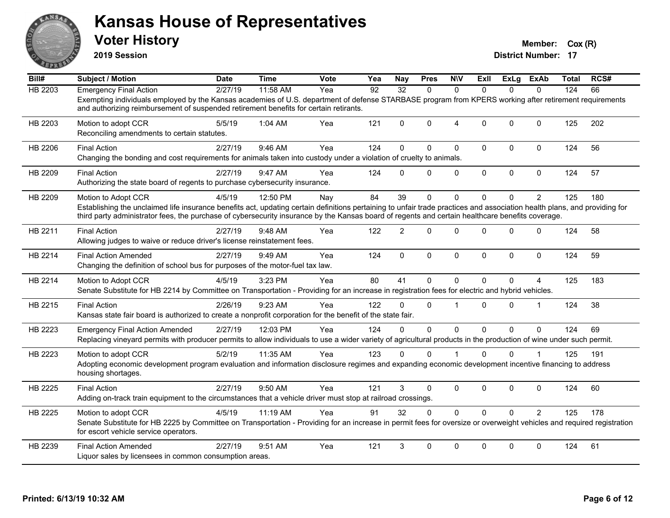

**2019 Session**

| Bill#          | <b>Subject / Motion</b>                                                                                                                                                                                                                                                                                                                              | <b>Date</b> | <b>Time</b> | <b>Vote</b> | Yea | <b>Nay</b>      | <b>Pres</b> | <b>NIV</b>     | ExII         | ExLg         | ExAb           | Total | RCS# |
|----------------|------------------------------------------------------------------------------------------------------------------------------------------------------------------------------------------------------------------------------------------------------------------------------------------------------------------------------------------------------|-------------|-------------|-------------|-----|-----------------|-------------|----------------|--------------|--------------|----------------|-------|------|
| <b>HB 2203</b> | <b>Emergency Final Action</b>                                                                                                                                                                                                                                                                                                                        | 2/27/19     | 11:58 AM    | Yea         | 92  | $\overline{32}$ | $\Omega$    | $\Omega$       | $\Omega$     | $\Omega$     | $\Omega$       | 124   | 66   |
|                | Exempting individuals employed by the Kansas academies of U.S. department of defense STARBASE program from KPERS working after retirement requirements<br>and authorizing reimbursement of suspended retirement benefits for certain retirants.                                                                                                      |             |             |             |     |                 |             |                |              |              |                |       |      |
| HB 2203        | Motion to adopt CCR<br>Reconciling amendments to certain statutes.                                                                                                                                                                                                                                                                                   | 5/5/19      | 1:04 AM     | Yea         | 121 | $\Omega$        | $\Omega$    | $\overline{4}$ | $\Omega$     | $\Omega$     | $\Omega$       | 125   | 202  |
| HB 2206        | <b>Final Action</b><br>Changing the bonding and cost requirements for animals taken into custody under a violation of cruelty to animals.                                                                                                                                                                                                            | 2/27/19     | 9:46 AM     | Yea         | 124 | $\Omega$        | $\Omega$    | $\mathbf{0}$   | $\Omega$     | $\Omega$     | $\mathbf 0$    | 124   | 56   |
| HB 2209        | <b>Final Action</b><br>Authorizing the state board of regents to purchase cybersecurity insurance.                                                                                                                                                                                                                                                   | 2/27/19     | 9:47 AM     | Yea         | 124 | $\Omega$        | $\Omega$    | $\mathbf 0$    | $\mathbf 0$  | $\mathbf 0$  | $\mathbf 0$    | 124   | 57   |
| HB 2209        | Motion to Adopt CCR<br>Establishing the unclaimed life insurance benefits act, updating certain definitions pertaining to unfair trade practices and association health plans, and providing for<br>third party administrator fees, the purchase of cybersecurity insurance by the Kansas board of regents and certain healthcare benefits coverage. | 4/5/19      | 12:50 PM    | Nay         | 84  | 39              | $\Omega$    | $\mathbf{0}$   | 0            | $\Omega$     | 2              | 125   | 180  |
| HB 2211        | <b>Final Action</b><br>Allowing judges to waive or reduce driver's license reinstatement fees.                                                                                                                                                                                                                                                       | 2/27/19     | 9:48 AM     | Yea         | 122 | $\overline{2}$  | $\Omega$    | $\mathbf 0$    | $\Omega$     | $\Omega$     | $\mathbf 0$    | 124   | 58   |
| HB 2214        | <b>Final Action Amended</b><br>Changing the definition of school bus for purposes of the motor-fuel tax law.                                                                                                                                                                                                                                         | 2/27/19     | 9:49 AM     | Yea         | 124 | $\mathbf 0$     | $\mathbf 0$ | $\mathbf 0$    | $\mathbf{0}$ | 0            | 0              | 124   | 59   |
| HB 2214        | Motion to Adopt CCR<br>Senate Substitute for HB 2214 by Committee on Transportation - Providing for an increase in registration fees for electric and hybrid vehicles.                                                                                                                                                                               | 4/5/19      | 3:23 PM     | Yea         | 80  | 41              | 0           | $\mathbf 0$    | $\Omega$     | $\Omega$     | 4              | 125   | 183  |
| HB 2215        | <b>Final Action</b><br>Kansas state fair board is authorized to create a nonprofit corporation for the benefit of the state fair.                                                                                                                                                                                                                    | 2/26/19     | 9:23 AM     | Yea         | 122 | $\Omega$        | $\Omega$    | $\overline{1}$ | $\Omega$     | $\Omega$     | $\overline{1}$ | 124   | 38   |
| HB 2223        | <b>Emergency Final Action Amended</b><br>Replacing vineyard permits with producer permits to allow individuals to use a wider variety of agricultural products in the production of wine under such permit.                                                                                                                                          | 2/27/19     | 12:03 PM    | Yea         | 124 | $\Omega$        | $\Omega$    | $\Omega$       | $\Omega$     | $\Omega$     | $\mathbf 0$    | 124   | 69   |
| HB 2223        | Motion to adopt CCR<br>Adopting economic development program evaluation and information disclosure regimes and expanding economic development incentive financing to address<br>housing shortages.                                                                                                                                                   | 5/2/19      | 11:35 AM    | Yea         | 123 | $\Omega$        | $\Omega$    |                | $\Omega$     | $\Omega$     |                | 125   | 191  |
| HB 2225        | <b>Final Action</b><br>Adding on-track train equipment to the circumstances that a vehicle driver must stop at railroad crossings.                                                                                                                                                                                                                   | 2/27/19     | 9:50 AM     | Yea         | 121 | 3               | $\Omega$    | $\pmb{0}$      | 0            | $\mathbf{0}$ | $\pmb{0}$      | 124   | 60   |
| HB 2225        | Motion to adopt CCR<br>Senate Substitute for HB 2225 by Committee on Transportation - Providing for an increase in permit fees for oversize or overweight vehicles and required registration<br>for escort vehicle service operators.                                                                                                                | 4/5/19      | 11:19 AM    | Yea         | 91  | 32              | $\Omega$    | $\mathbf 0$    | $\Omega$     | $\Omega$     | $\overline{2}$ | 125   | 178  |
| HB 2239        | <b>Final Action Amended</b><br>Liquor sales by licensees in common consumption areas.                                                                                                                                                                                                                                                                | 2/27/19     | 9:51 AM     | Yea         | 121 | 3               | $\Omega$    | $\mathbf{0}$   | $\Omega$     | $\mathbf{0}$ | $\Omega$       | 124   | 61   |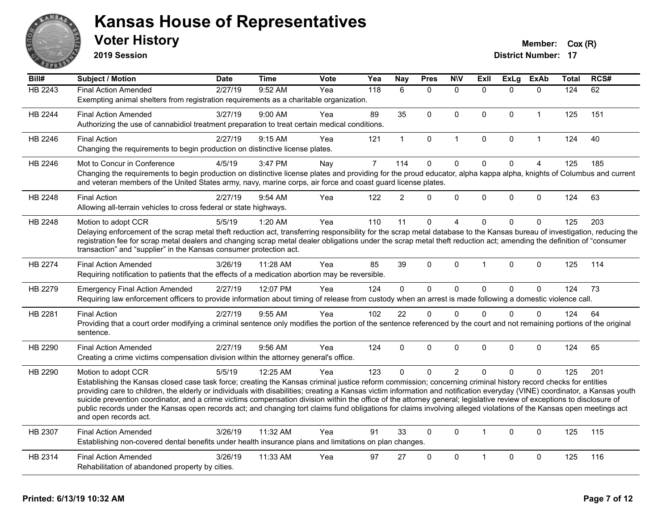

**2019 Session**

| Bill#   | <b>Subject / Motion</b>                                                                                                                                                                                                                                                                                                                               | <b>Date</b> | <b>Time</b> | Vote | Yea            | Nay            | <b>Pres</b>  | <b>NIV</b>     | <b>Exll</b>  | ExLg         | <b>ExAb</b>    | <b>Total</b> | RCS# |
|---------|-------------------------------------------------------------------------------------------------------------------------------------------------------------------------------------------------------------------------------------------------------------------------------------------------------------------------------------------------------|-------------|-------------|------|----------------|----------------|--------------|----------------|--------------|--------------|----------------|--------------|------|
| HB 2243 | <b>Final Action Amended</b>                                                                                                                                                                                                                                                                                                                           | 2/27/19     | 9:52 AM     | Yea  | 118            | 6              | $\Omega$     | $\mathbf{0}$   | $\Omega$     | $\Omega$     | $\mathbf{0}$   | 124          | 62   |
|         | Exempting animal shelters from registration requirements as a charitable organization.                                                                                                                                                                                                                                                                |             |             |      |                |                |              |                |              |              |                |              |      |
| HB 2244 | <b>Final Action Amended</b>                                                                                                                                                                                                                                                                                                                           | 3/27/19     | 9:00 AM     | Yea  | 89             | 35             | $\mathbf{0}$ | $\mathbf{0}$   | $\Omega$     | $\Omega$     | $\mathbf{1}$   | 125          | 151  |
|         | Authorizing the use of cannabidiol treatment preparation to treat certain medical conditions.                                                                                                                                                                                                                                                         |             |             |      |                |                |              |                |              |              |                |              |      |
| HB 2246 | <b>Final Action</b>                                                                                                                                                                                                                                                                                                                                   | 2/27/19     | 9:15 AM     | Yea  | 121            | $\mathbf 1$    | 0            | $\mathbf{1}$   | $\mathbf 0$  | $\mathbf 0$  | $\mathbf{1}$   | 124          | 40   |
|         | Changing the requirements to begin production on distinctive license plates.                                                                                                                                                                                                                                                                          |             |             |      |                |                |              |                |              |              |                |              |      |
| HB 2246 | Mot to Concur in Conference                                                                                                                                                                                                                                                                                                                           | 4/5/19      | 3:47 PM     | Nay  | $\overline{7}$ | 114            | $\mathbf 0$  | $\mathbf 0$    | $\mathbf 0$  | $\mathbf 0$  | $\overline{4}$ | 125          | 185  |
|         | Changing the requirements to begin production on distinctive license plates and providing for the proud educator, alpha kappa alpha, knights of Columbus and current<br>and veteran members of the United States army, navy, marine corps, air force and coast guard license plates.                                                                  |             |             |      |                |                |              |                |              |              |                |              |      |
| HB 2248 | <b>Final Action</b>                                                                                                                                                                                                                                                                                                                                   | 2/27/19     | 9:54 AM     | Yea  | 122            | $\overline{2}$ | $\Omega$     | $\mathbf{0}$   | $\Omega$     | $\Omega$     | $\mathbf{0}$   | 124          | 63   |
|         | Allowing all-terrain vehicles to cross federal or state highways.                                                                                                                                                                                                                                                                                     |             |             |      |                |                |              |                |              |              |                |              |      |
| HB 2248 | Motion to adopt CCR                                                                                                                                                                                                                                                                                                                                   | 5/5/19      | 1:20 AM     | Yea  | 110            | 11             | $\mathbf 0$  | $\overline{4}$ | $\Omega$     | 0            | $\mathbf 0$    | 125          | 203  |
|         | Delaying enforcement of the scrap metal theft reduction act, transferring responsibility for the scrap metal database to the Kansas bureau of investigation, reducing the                                                                                                                                                                             |             |             |      |                |                |              |                |              |              |                |              |      |
|         | registration fee for scrap metal dealers and changing scrap metal dealer obligations under the scrap metal theft reduction act; amending the definition of "consumer<br>transaction" and "supplier" in the Kansas consumer protection act.                                                                                                            |             |             |      |                |                |              |                |              |              |                |              |      |
|         |                                                                                                                                                                                                                                                                                                                                                       |             |             |      |                |                |              |                |              |              |                |              |      |
| HB 2274 | <b>Final Action Amended</b>                                                                                                                                                                                                                                                                                                                           | 3/26/19     | 11:28 AM    | Yea  | 85             | 39             | $\mathbf{0}$ | $\mathbf{0}$   | 1            | $\Omega$     | $\mathbf{0}$   | 125          | 114  |
|         | Requiring notification to patients that the effects of a medication abortion may be reversible.                                                                                                                                                                                                                                                       |             |             |      |                |                |              |                |              |              |                |              |      |
| HB 2279 | <b>Emergency Final Action Amended</b>                                                                                                                                                                                                                                                                                                                 | 2/27/19     | 12:07 PM    | Yea  | 124            | 0              | $\mathbf 0$  | $\pmb{0}$      | $\Omega$     | $\mathbf 0$  | $\mathbf 0$    | 124          | 73   |
|         | Requiring law enforcement officers to provide information about timing of release from custody when an arrest is made following a domestic violence call.                                                                                                                                                                                             |             |             |      |                |                |              |                |              |              |                |              |      |
| HB 2281 | <b>Final Action</b>                                                                                                                                                                                                                                                                                                                                   | 2/27/19     | 9:55 AM     | Yea  | 102            | 22             | $\mathbf 0$  | $\mathbf{0}$   | $\Omega$     | $\Omega$     | $\mathbf{0}$   | 124          | 64   |
|         | Providing that a court order modifying a criminal sentence only modifies the portion of the sentence referenced by the court and not remaining portions of the original                                                                                                                                                                               |             |             |      |                |                |              |                |              |              |                |              |      |
|         | sentence.                                                                                                                                                                                                                                                                                                                                             |             |             |      |                |                |              |                |              |              |                |              |      |
| HB 2290 | <b>Final Action Amended</b>                                                                                                                                                                                                                                                                                                                           | 2/27/19     | 9:56 AM     | Yea  | 124            | 0              | $\Omega$     | $\mathbf{0}$   | $\Omega$     | $\Omega$     | $\mathbf{0}$   | 124          | 65   |
|         | Creating a crime victims compensation division within the attorney general's office.                                                                                                                                                                                                                                                                  |             |             |      |                |                |              |                |              |              |                |              |      |
| HB 2290 | Motion to adopt CCR                                                                                                                                                                                                                                                                                                                                   | 5/5/19      | 12:25 AM    | Yea  | 123            | $\Omega$       | $\Omega$     | 2              | $\Omega$     | $\Omega$     | $\mathbf{0}$   | 125          | 201  |
|         | Establishing the Kansas closed case task force; creating the Kansas criminal justice reform commission; concerning criminal history record checks for entities                                                                                                                                                                                        |             |             |      |                |                |              |                |              |              |                |              |      |
|         | providing care to children, the elderly or individuals with disabilities; creating a Kansas victim information and notification everyday (VINE) coordinator, a Kansas youth<br>suicide prevention coordinator, and a crime victims compensation division within the office of the attorney general; legislative review of exceptions to disclosure of |             |             |      |                |                |              |                |              |              |                |              |      |
|         | public records under the Kansas open records act; and changing tort claims fund obligations for claims involving alleged violations of the Kansas open meetings act                                                                                                                                                                                   |             |             |      |                |                |              |                |              |              |                |              |      |
|         | and open records act.                                                                                                                                                                                                                                                                                                                                 |             |             |      |                |                |              |                |              |              |                |              |      |
| HB 2307 | <b>Final Action Amended</b>                                                                                                                                                                                                                                                                                                                           | 3/26/19     | 11:32 AM    | Yea  | 91             | 33             | $\mathbf{0}$ | $\mathbf{0}$   | $\mathbf{1}$ | $\mathbf{0}$ | $\mathbf{0}$   | 125          | 115  |
|         | Establishing non-covered dental benefits under health insurance plans and limitations on plan changes.                                                                                                                                                                                                                                                |             |             |      |                |                |              |                |              |              |                |              |      |
| HB 2314 | <b>Final Action Amended</b>                                                                                                                                                                                                                                                                                                                           | 3/26/19     | 11:33 AM    | Yea  | 97             | 27             | $\Omega$     | $\mathbf{0}$   |              | $\Omega$     | $\mathbf{0}$   | 125          | 116  |
|         | Rehabilitation of abandoned property by cities.                                                                                                                                                                                                                                                                                                       |             |             |      |                |                |              |                |              |              |                |              |      |
|         |                                                                                                                                                                                                                                                                                                                                                       |             |             |      |                |                |              |                |              |              |                |              |      |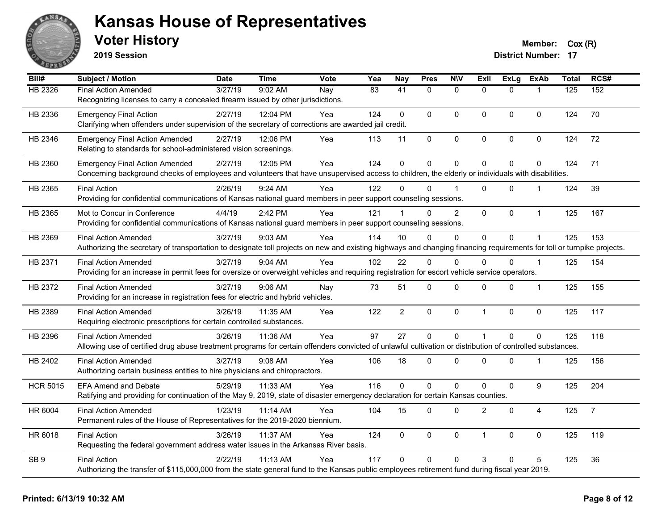

**2019 Session**

| Bill#           | <b>Subject / Motion</b>                                                                                                                                                | <b>Date</b> | <b>Time</b> | Vote | Yea             | <b>Nay</b>      | <b>Pres</b>  | <b>N\V</b>     | Exll           | <b>ExLg</b>  | <b>ExAb</b>    | <b>Total</b> | RCS#           |
|-----------------|------------------------------------------------------------------------------------------------------------------------------------------------------------------------|-------------|-------------|------|-----------------|-----------------|--------------|----------------|----------------|--------------|----------------|--------------|----------------|
| HB 2326         | <b>Final Action Amended</b>                                                                                                                                            | 3/27/19     | 9:02 AM     | Nay  | $\overline{83}$ | $\overline{41}$ | $\Omega$     | $\mathbf{0}$   | $\Omega$       | $\Omega$     |                | 125          | 152            |
|                 | Recognizing licenses to carry a concealed firearm issued by other jurisdictions.                                                                                       |             |             |      |                 |                 |              |                |                |              |                |              |                |
| HB 2336         | <b>Emergency Final Action</b>                                                                                                                                          | 2/27/19     | 12:04 PM    | Yea  | 124             | $\mathbf{0}$    | $\Omega$     | $\Omega$       | $\mathbf{0}$   | $\mathbf{0}$ | 0              | 124          | 70             |
|                 | Clarifying when offenders under supervision of the secretary of corrections are awarded jail credit.                                                                   |             |             |      |                 |                 |              |                |                |              |                |              |                |
| HB 2346         | <b>Emergency Final Action Amended</b>                                                                                                                                  | 2/27/19     | 12:06 PM    | Yea  | 113             | 11              | 0            | $\mathbf 0$    | $\pmb{0}$      | 0            | 0              | 124          | 72             |
|                 | Relating to standards for school-administered vision screenings.                                                                                                       |             |             |      |                 |                 |              |                |                |              |                |              |                |
| HB 2360         | <b>Emergency Final Action Amended</b>                                                                                                                                  | 2/27/19     | 12:05 PM    | Yea  | 124             | $\mathbf 0$     | 0            | $\mathbf 0$    | $\mathbf{0}$   | 0            | $\Omega$       | 124          | 71             |
|                 | Concerning background checks of employees and volunteers that have unsupervised access to children, the elderly or individuals with disabilities.                      |             |             |      |                 |                 |              |                |                |              |                |              |                |
| HB 2365         | <b>Final Action</b>                                                                                                                                                    | 2/26/19     | 9:24 AM     | Yea  | 122             | U               | $\Omega$     |                | $\Omega$       | $\Omega$     | -1             | 124          | 39             |
|                 | Providing for confidential communications of Kansas national guard members in peer support counseling sessions.                                                        |             |             |      |                 |                 |              |                |                |              |                |              |                |
| HB 2365         | Mot to Concur in Conference                                                                                                                                            | 4/4/19      | 2:42 PM     | Yea  | 121             | $\mathbf{1}$    | $\Omega$     | $\overline{2}$ | $\mathbf{0}$   | $\Omega$     | $\mathbf{1}$   | 125          | 167            |
|                 | Providing for confidential communications of Kansas national guard members in peer support counseling sessions.                                                        |             |             |      |                 |                 |              |                |                |              |                |              |                |
| HB 2369         | <b>Final Action Amended</b>                                                                                                                                            | 3/27/19     | $9:03$ AM   | Yea  | 114             | 10              | $\mathbf{0}$ | 0              | $\Omega$       | $\Omega$     |                | 125          | 153            |
|                 | Authorizing the secretary of transportation to designate toll projects on new and existing highways and changing financing requirements for toll or turnpike projects. |             |             |      |                 |                 |              |                |                |              |                |              |                |
| HB 2371         | <b>Final Action Amended</b>                                                                                                                                            | 3/27/19     | 9:04 AM     | Yea  | 102             | 22              | $\Omega$     | $\Omega$       | $\Omega$       | $\Omega$     | $\overline{1}$ | 125          | 154            |
|                 | Providing for an increase in permit fees for oversize or overweight vehicles and requiring registration for escort vehicle service operators.                          |             |             |      |                 |                 |              |                |                |              |                |              |                |
| HB 2372         | <b>Final Action Amended</b>                                                                                                                                            | 3/27/19     | $9:06$ AM   | Nay  | 73              | 51              | 0            | 0              | $\mathbf 0$    | 0            | $\mathbf 1$    | 125          | 155            |
|                 | Providing for an increase in registration fees for electric and hybrid vehicles.                                                                                       |             |             |      |                 |                 |              |                |                |              |                |              |                |
| HB 2389         | <b>Final Action Amended</b>                                                                                                                                            | 3/26/19     | 11:35 AM    | Yea  | 122             | $\overline{2}$  | 0            | $\mathbf 0$    | $\overline{1}$ | 0            | $\pmb{0}$      | 125          | 117            |
|                 | Requiring electronic prescriptions for certain controlled substances.                                                                                                  |             |             |      |                 |                 |              |                |                |              |                |              |                |
| HB 2396         | <b>Final Action Amended</b>                                                                                                                                            | 3/26/19     | 11:36 AM    | Yea  | 97              | 27              | $\mathbf 0$  | $\mathbf 0$    | $\overline{1}$ | $\Omega$     | $\mathbf 0$    | 125          | 118            |
|                 | Allowing use of certified drug abuse treatment programs for certain offenders convicted of unlawful cultivation or distribution of controlled substances.              |             |             |      |                 |                 |              |                |                |              |                |              |                |
| HB 2402         | <b>Final Action Amended</b>                                                                                                                                            | 3/27/19     | $9:08$ AM   | Yea  | 106             | 18              | $\mathbf{0}$ | $\Omega$       | $\mathbf{0}$   | $\Omega$     | -1             | 125          | 156            |
|                 | Authorizing certain business entities to hire physicians and chiropractors.                                                                                            |             |             |      |                 |                 |              |                |                |              |                |              |                |
| <b>HCR 5015</b> | <b>EFA Amend and Debate</b>                                                                                                                                            | 5/29/19     | 11:33 AM    | Yea  | 116             | $\Omega$        | $\mathbf 0$  | 0              | $\Omega$       | 0            | 9              | 125          | 204            |
|                 | Ratifying and providing for continuation of the May 9, 2019, state of disaster emergency declaration for certain Kansas counties.                                      |             |             |      |                 |                 |              |                |                |              |                |              |                |
| HR 6004         | <b>Final Action Amended</b>                                                                                                                                            | 1/23/19     | 11:14 AM    | Yea  | 104             | 15              | 0            | 0              | $\overline{2}$ | $\mathbf{0}$ | 4              | 125          | $\overline{7}$ |
|                 | Permanent rules of the House of Representatives for the 2019-2020 biennium.                                                                                            |             |             |      |                 |                 |              |                |                |              |                |              |                |
| HR 6018         | <b>Final Action</b>                                                                                                                                                    | 3/26/19     | 11:37 AM    | Yea  | 124             | $\mathbf 0$     | 0            | $\mathbf 0$    | $\mathbf 1$    | 0            | 0              | 125          | 119            |
|                 | Requesting the federal government address water issues in the Arkansas River basis.                                                                                    |             |             |      |                 |                 |              |                |                |              |                |              |                |
| SB <sub>9</sub> | <b>Final Action</b>                                                                                                                                                    | 2/22/19     | 11:13 AM    | Yea  | 117             | $\Omega$        | $\Omega$     | $\Omega$       | 3              | 0            | 5              | 125          | 36             |
|                 | Authorizing the transfer of \$115,000,000 from the state general fund to the Kansas public employees retirement fund during fiscal year 2019.                          |             |             |      |                 |                 |              |                |                |              |                |              |                |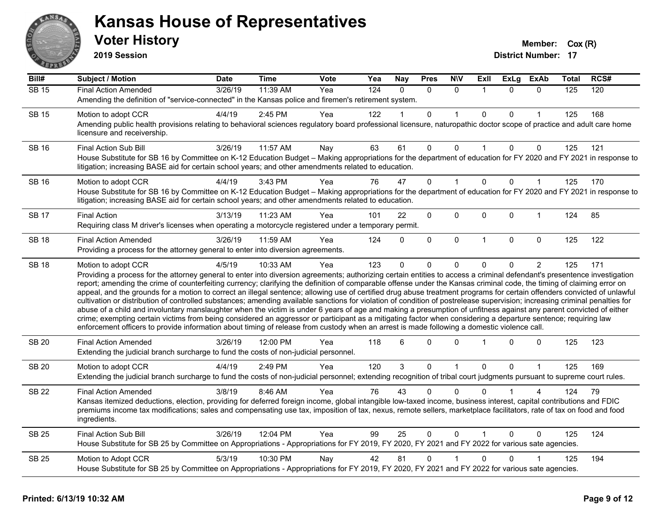

**2019 Session**

| Bill#        | Subject / Motion                                                                                                                                                                                                                                                                                                                                                                                                                                                                                                                                                                                                                                                                                                                                                                                                                                                                                                                                                                                                                                                                                                                                                                                     | <b>Date</b> | <b>Time</b> | Vote | Yea | <b>Nay</b>   | <b>Pres</b>  | <b>N\V</b>   | ExII           | <b>ExLg</b> | <b>ExAb</b>    | <b>Total</b> | RCS# |
|--------------|------------------------------------------------------------------------------------------------------------------------------------------------------------------------------------------------------------------------------------------------------------------------------------------------------------------------------------------------------------------------------------------------------------------------------------------------------------------------------------------------------------------------------------------------------------------------------------------------------------------------------------------------------------------------------------------------------------------------------------------------------------------------------------------------------------------------------------------------------------------------------------------------------------------------------------------------------------------------------------------------------------------------------------------------------------------------------------------------------------------------------------------------------------------------------------------------------|-------------|-------------|------|-----|--------------|--------------|--------------|----------------|-------------|----------------|--------------|------|
| <b>SB 15</b> | <b>Final Action Amended</b>                                                                                                                                                                                                                                                                                                                                                                                                                                                                                                                                                                                                                                                                                                                                                                                                                                                                                                                                                                                                                                                                                                                                                                          | 3/26/19     | 11:39 AM    | Yea  | 124 | $\Omega$     | $\Omega$     | $\mathbf{0}$ | $\overline{1}$ | $\Omega$    | $\mathbf{0}$   | 125          | 120  |
|              | Amending the definition of "service-connected" in the Kansas police and firemen's retirement system.                                                                                                                                                                                                                                                                                                                                                                                                                                                                                                                                                                                                                                                                                                                                                                                                                                                                                                                                                                                                                                                                                                 |             |             |      |     |              |              |              |                |             |                |              |      |
| <b>SB 15</b> | Motion to adopt CCR                                                                                                                                                                                                                                                                                                                                                                                                                                                                                                                                                                                                                                                                                                                                                                                                                                                                                                                                                                                                                                                                                                                                                                                  | 4/4/19      | 2:45 PM     | Yea  | 122 |              | 0            |              | $\Omega$       | 0           |                | 125          | 168  |
|              | Amending public health provisions relating to behavioral sciences regulatory board professional licensure, naturopathic doctor scope of practice and adult care home<br>licensure and receivership.                                                                                                                                                                                                                                                                                                                                                                                                                                                                                                                                                                                                                                                                                                                                                                                                                                                                                                                                                                                                  |             |             |      |     |              |              |              |                |             |                |              |      |
| <b>SB 16</b> | Final Action Sub Bill                                                                                                                                                                                                                                                                                                                                                                                                                                                                                                                                                                                                                                                                                                                                                                                                                                                                                                                                                                                                                                                                                                                                                                                | 3/26/19     | 11:57 AM    | Nay  | 63  | 61           | 0            | 0            | $\overline{1}$ | 0           | $\mathbf 0$    | 125          | 121  |
|              | House Substitute for SB 16 by Committee on K-12 Education Budget - Making appropriations for the department of education for FY 2020 and FY 2021 in response to<br>litigation; increasing BASE aid for certain school years; and other amendments related to education.                                                                                                                                                                                                                                                                                                                                                                                                                                                                                                                                                                                                                                                                                                                                                                                                                                                                                                                              |             |             |      |     |              |              |              |                |             |                |              |      |
| <b>SB 16</b> | Motion to adopt CCR                                                                                                                                                                                                                                                                                                                                                                                                                                                                                                                                                                                                                                                                                                                                                                                                                                                                                                                                                                                                                                                                                                                                                                                  | 4/4/19      | 3:43 PM     | Yea  | 76  | 47           | 0            |              | $\Omega$       | $\mathbf 0$ | $\mathbf{1}$   | 125          | 170  |
|              | House Substitute for SB 16 by Committee on K-12 Education Budget - Making appropriations for the department of education for FY 2020 and FY 2021 in response to<br>litigation; increasing BASE aid for certain school years; and other amendments related to education.                                                                                                                                                                                                                                                                                                                                                                                                                                                                                                                                                                                                                                                                                                                                                                                                                                                                                                                              |             |             |      |     |              |              |              |                |             |                |              |      |
| <b>SB 17</b> | <b>Final Action</b>                                                                                                                                                                                                                                                                                                                                                                                                                                                                                                                                                                                                                                                                                                                                                                                                                                                                                                                                                                                                                                                                                                                                                                                  | 3/13/19     | 11:23 AM    | Yea  | 101 | 22           | 0            | 0            | $\mathbf 0$    | 0           | 1              | 124          | 85   |
|              | Requiring class M driver's licenses when operating a motorcycle registered under a temporary permit.                                                                                                                                                                                                                                                                                                                                                                                                                                                                                                                                                                                                                                                                                                                                                                                                                                                                                                                                                                                                                                                                                                 |             |             |      |     |              |              |              |                |             |                |              |      |
| <b>SB 18</b> | <b>Final Action Amended</b>                                                                                                                                                                                                                                                                                                                                                                                                                                                                                                                                                                                                                                                                                                                                                                                                                                                                                                                                                                                                                                                                                                                                                                          | 3/26/19     | 11:59 AM    | Yea  | 124 | $\mathbf{0}$ | $\Omega$     | 0            | $\overline{1}$ | $\mathbf 0$ | $\mathbf 0$    | 125          | 122  |
|              | Providing a process for the attorney general to enter into diversion agreements.                                                                                                                                                                                                                                                                                                                                                                                                                                                                                                                                                                                                                                                                                                                                                                                                                                                                                                                                                                                                                                                                                                                     |             |             |      |     |              |              |              |                |             |                |              |      |
| <b>SB 18</b> | Motion to adopt CCR                                                                                                                                                                                                                                                                                                                                                                                                                                                                                                                                                                                                                                                                                                                                                                                                                                                                                                                                                                                                                                                                                                                                                                                  | 4/5/19      | 10:33 AM    | Yea  | 123 | $\Omega$     | $\mathbf{0}$ | $\Omega$     | $\Omega$       | 0           | $\overline{2}$ | 125          | 171  |
|              | Providing a process for the attorney general to enter into diversion agreements; authorizing certain entities to access a criminal defendant's presentence investigation<br>report; amending the crime of counterfeiting currency; clarifying the definition of comparable offense under the Kansas criminal code, the timing of claiming error on<br>appeal, and the grounds for a motion to correct an illegal sentence; allowing use of certified drug abuse treatment programs for certain offenders convicted of unlawful<br>cultivation or distribution of controlled substances; amending available sanctions for violation of condition of postrelease supervision; increasing criminal penalties for<br>abuse of a child and involuntary manslaughter when the victim is under 6 years of age and making a presumption of unfitness against any parent convicted of either<br>crime; exempting certain victims from being considered an aggressor or participant as a mitigating factor when considering a departure sentence; requiring law<br>enforcement officers to provide information about timing of release from custody when an arrest is made following a domestic violence call. |             |             |      |     |              |              |              |                |             |                |              |      |
| <b>SB 20</b> | <b>Final Action Amended</b><br>Extending the judicial branch surcharge to fund the costs of non-judicial personnel.                                                                                                                                                                                                                                                                                                                                                                                                                                                                                                                                                                                                                                                                                                                                                                                                                                                                                                                                                                                                                                                                                  | 3/26/19     | 12:00 PM    | Yea  | 118 | 6            | $\Omega$     | $\Omega$     |                | $\Omega$    | $\mathbf{0}$   | 125          | 123  |
| <b>SB 20</b> | Motion to adopt CCR                                                                                                                                                                                                                                                                                                                                                                                                                                                                                                                                                                                                                                                                                                                                                                                                                                                                                                                                                                                                                                                                                                                                                                                  | 4/4/19      | 2:49 PM     | Yea  | 120 | 3            | 0            | $\mathbf{1}$ | $\Omega$       | 0           | $\mathbf{1}$   | 125          | 169  |
|              | Extending the judicial branch surcharge to fund the costs of non-judicial personnel; extending recognition of tribal court judgments pursuant to supreme court rules.                                                                                                                                                                                                                                                                                                                                                                                                                                                                                                                                                                                                                                                                                                                                                                                                                                                                                                                                                                                                                                |             |             |      |     |              |              |              |                |             |                |              |      |
| <b>SB 22</b> | <b>Final Action Amended</b>                                                                                                                                                                                                                                                                                                                                                                                                                                                                                                                                                                                                                                                                                                                                                                                                                                                                                                                                                                                                                                                                                                                                                                          | 3/8/19      | 8:46 AM     | Yea  | 76  | 43           | 0            | $\Omega$     |                |             |                | 124          | 79   |
|              | Kansas itemized deductions, election, providing for deferred foreign income, global intangible low-taxed income, business interest, capital contributions and FDIC<br>premiums income tax modifications; sales and compensating use tax, imposition of tax, nexus, remote sellers, marketplace facilitators, rate of tax on food and food<br>ingredients.                                                                                                                                                                                                                                                                                                                                                                                                                                                                                                                                                                                                                                                                                                                                                                                                                                            |             |             |      |     |              |              |              |                |             |                |              |      |
| <b>SB 25</b> | Final Action Sub Bill                                                                                                                                                                                                                                                                                                                                                                                                                                                                                                                                                                                                                                                                                                                                                                                                                                                                                                                                                                                                                                                                                                                                                                                | 3/26/19     | 12:04 PM    | Yea  | 99  | 25           | $\Omega$     | $\mathbf{0}$ |                | $\Omega$    | $\Omega$       | 125          | 124  |
|              | House Substitute for SB 25 by Committee on Appropriations - Appropriations for FY 2019, FY 2020, FY 2021 and FY 2022 for various sate agencies.                                                                                                                                                                                                                                                                                                                                                                                                                                                                                                                                                                                                                                                                                                                                                                                                                                                                                                                                                                                                                                                      |             |             |      |     |              |              |              |                |             |                |              |      |
| <b>SB 25</b> | Motion to Adopt CCR                                                                                                                                                                                                                                                                                                                                                                                                                                                                                                                                                                                                                                                                                                                                                                                                                                                                                                                                                                                                                                                                                                                                                                                  | 5/3/19      | 10:30 PM    | Nay  | 42  | 81           | 0            |              | $\Omega$       | 0           |                | 125          | 194  |
|              | House Substitute for SB 25 by Committee on Appropriations - Appropriations for FY 2019, FY 2020, FY 2021 and FY 2022 for various sate agencies.                                                                                                                                                                                                                                                                                                                                                                                                                                                                                                                                                                                                                                                                                                                                                                                                                                                                                                                                                                                                                                                      |             |             |      |     |              |              |              |                |             |                |              |      |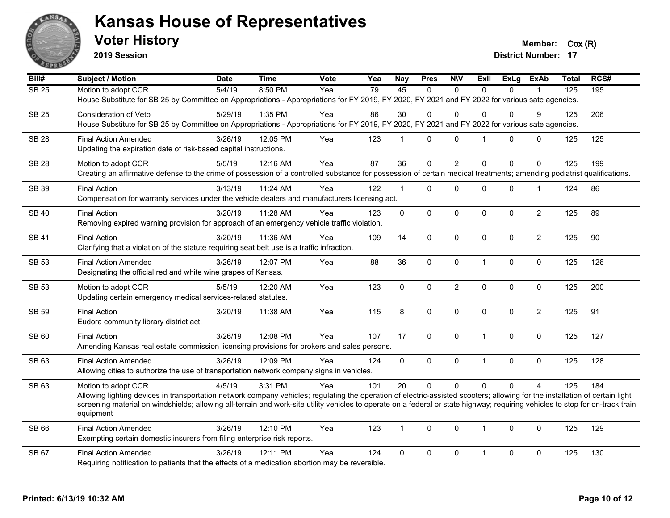

**2019 Session**

**Voter History Member:**  $Cox(R)$ 

| <b>Subject / Motion</b>     | <b>Date</b>                                                                                                                                                                                | <b>Time</b>                                                                                                       | Vote                                                                                                                                                                                                                                                                       | Yea                                                                                                                       | <b>Nay</b>                                                                                                                                                                                                                                                                                                                            | <b>Pres</b>                                                                                                                                                                                                                                            | <b>N\V</b>                                                  | ExII                                                               | <b>ExLg</b>                                     | <b>ExAb</b>                                               | <b>Total</b>                                                       | RCS#                                                                                                                                                                                                                                                                                                                                                                                                                                                                                                                                                                                                                                                                                                                                                                                                                                                                                            |
|-----------------------------|--------------------------------------------------------------------------------------------------------------------------------------------------------------------------------------------|-------------------------------------------------------------------------------------------------------------------|----------------------------------------------------------------------------------------------------------------------------------------------------------------------------------------------------------------------------------------------------------------------------|---------------------------------------------------------------------------------------------------------------------------|---------------------------------------------------------------------------------------------------------------------------------------------------------------------------------------------------------------------------------------------------------------------------------------------------------------------------------------|--------------------------------------------------------------------------------------------------------------------------------------------------------------------------------------------------------------------------------------------------------|-------------------------------------------------------------|--------------------------------------------------------------------|-------------------------------------------------|-----------------------------------------------------------|--------------------------------------------------------------------|-------------------------------------------------------------------------------------------------------------------------------------------------------------------------------------------------------------------------------------------------------------------------------------------------------------------------------------------------------------------------------------------------------------------------------------------------------------------------------------------------------------------------------------------------------------------------------------------------------------------------------------------------------------------------------------------------------------------------------------------------------------------------------------------------------------------------------------------------------------------------------------------------|
| Motion to adopt CCR         | 5/4/19                                                                                                                                                                                     | 8:50 PM                                                                                                           | Yea                                                                                                                                                                                                                                                                        | 79                                                                                                                        | 45                                                                                                                                                                                                                                                                                                                                    | $\Omega$                                                                                                                                                                                                                                               | $\Omega$                                                    | $\Omega$                                                           | $\Omega$                                        |                                                           | 125                                                                | 195                                                                                                                                                                                                                                                                                                                                                                                                                                                                                                                                                                                                                                                                                                                                                                                                                                                                                             |
|                             |                                                                                                                                                                                            |                                                                                                                   |                                                                                                                                                                                                                                                                            |                                                                                                                           |                                                                                                                                                                                                                                                                                                                                       |                                                                                                                                                                                                                                                        |                                                             |                                                                    |                                                 |                                                           |                                                                    |                                                                                                                                                                                                                                                                                                                                                                                                                                                                                                                                                                                                                                                                                                                                                                                                                                                                                                 |
| Consideration of Veto       | 5/29/19                                                                                                                                                                                    | 1:35 PM                                                                                                           | Yea                                                                                                                                                                                                                                                                        | 86                                                                                                                        | 30                                                                                                                                                                                                                                                                                                                                    | 0                                                                                                                                                                                                                                                      | $\Omega$                                                    | $\Omega$                                                           | $\Omega$                                        | 9                                                         | 125                                                                | 206                                                                                                                                                                                                                                                                                                                                                                                                                                                                                                                                                                                                                                                                                                                                                                                                                                                                                             |
|                             |                                                                                                                                                                                            |                                                                                                                   |                                                                                                                                                                                                                                                                            |                                                                                                                           |                                                                                                                                                                                                                                                                                                                                       |                                                                                                                                                                                                                                                        |                                                             |                                                                    |                                                 |                                                           |                                                                    |                                                                                                                                                                                                                                                                                                                                                                                                                                                                                                                                                                                                                                                                                                                                                                                                                                                                                                 |
|                             |                                                                                                                                                                                            |                                                                                                                   |                                                                                                                                                                                                                                                                            |                                                                                                                           |                                                                                                                                                                                                                                                                                                                                       |                                                                                                                                                                                                                                                        |                                                             | $\overline{\mathbf{1}}$                                            |                                                 |                                                           |                                                                    | 125                                                                                                                                                                                                                                                                                                                                                                                                                                                                                                                                                                                                                                                                                                                                                                                                                                                                                             |
|                             |                                                                                                                                                                                            |                                                                                                                   |                                                                                                                                                                                                                                                                            |                                                                                                                           |                                                                                                                                                                                                                                                                                                                                       |                                                                                                                                                                                                                                                        |                                                             |                                                                    |                                                 |                                                           |                                                                    |                                                                                                                                                                                                                                                                                                                                                                                                                                                                                                                                                                                                                                                                                                                                                                                                                                                                                                 |
|                             |                                                                                                                                                                                            |                                                                                                                   |                                                                                                                                                                                                                                                                            |                                                                                                                           |                                                                                                                                                                                                                                                                                                                                       |                                                                                                                                                                                                                                                        |                                                             |                                                                    |                                                 |                                                           |                                                                    | 199                                                                                                                                                                                                                                                                                                                                                                                                                                                                                                                                                                                                                                                                                                                                                                                                                                                                                             |
|                             |                                                                                                                                                                                            |                                                                                                                   |                                                                                                                                                                                                                                                                            |                                                                                                                           |                                                                                                                                                                                                                                                                                                                                       |                                                                                                                                                                                                                                                        |                                                             |                                                                    |                                                 |                                                           |                                                                    |                                                                                                                                                                                                                                                                                                                                                                                                                                                                                                                                                                                                                                                                                                                                                                                                                                                                                                 |
|                             |                                                                                                                                                                                            |                                                                                                                   |                                                                                                                                                                                                                                                                            |                                                                                                                           |                                                                                                                                                                                                                                                                                                                                       |                                                                                                                                                                                                                                                        |                                                             |                                                                    |                                                 |                                                           |                                                                    |                                                                                                                                                                                                                                                                                                                                                                                                                                                                                                                                                                                                                                                                                                                                                                                                                                                                                                 |
|                             |                                                                                                                                                                                            |                                                                                                                   |                                                                                                                                                                                                                                                                            |                                                                                                                           |                                                                                                                                                                                                                                                                                                                                       |                                                                                                                                                                                                                                                        |                                                             |                                                                    |                                                 |                                                           |                                                                    | 86                                                                                                                                                                                                                                                                                                                                                                                                                                                                                                                                                                                                                                                                                                                                                                                                                                                                                              |
|                             |                                                                                                                                                                                            |                                                                                                                   |                                                                                                                                                                                                                                                                            |                                                                                                                           |                                                                                                                                                                                                                                                                                                                                       |                                                                                                                                                                                                                                                        |                                                             |                                                                    |                                                 |                                                           |                                                                    |                                                                                                                                                                                                                                                                                                                                                                                                                                                                                                                                                                                                                                                                                                                                                                                                                                                                                                 |
| <b>Final Action</b>         | 3/20/19                                                                                                                                                                                    | 11:28 AM                                                                                                          | Yea                                                                                                                                                                                                                                                                        | 123                                                                                                                       | $\mathbf 0$                                                                                                                                                                                                                                                                                                                           | 0                                                                                                                                                                                                                                                      | 0                                                           | $\mathbf 0$                                                        | $\mathbf 0$                                     | $\overline{c}$                                            | 125                                                                | 89                                                                                                                                                                                                                                                                                                                                                                                                                                                                                                                                                                                                                                                                                                                                                                                                                                                                                              |
|                             |                                                                                                                                                                                            |                                                                                                                   |                                                                                                                                                                                                                                                                            |                                                                                                                           |                                                                                                                                                                                                                                                                                                                                       |                                                                                                                                                                                                                                                        |                                                             |                                                                    |                                                 |                                                           |                                                                    |                                                                                                                                                                                                                                                                                                                                                                                                                                                                                                                                                                                                                                                                                                                                                                                                                                                                                                 |
| <b>Final Action</b>         | 3/20/19                                                                                                                                                                                    | 11:36 AM                                                                                                          | Yea                                                                                                                                                                                                                                                                        | 109                                                                                                                       | 14                                                                                                                                                                                                                                                                                                                                    | 0                                                                                                                                                                                                                                                      | 0                                                           | $\Omega$                                                           | 0                                               | $\overline{2}$                                            | 125                                                                | 90                                                                                                                                                                                                                                                                                                                                                                                                                                                                                                                                                                                                                                                                                                                                                                                                                                                                                              |
|                             |                                                                                                                                                                                            |                                                                                                                   |                                                                                                                                                                                                                                                                            |                                                                                                                           |                                                                                                                                                                                                                                                                                                                                       |                                                                                                                                                                                                                                                        |                                                             |                                                                    |                                                 |                                                           |                                                                    |                                                                                                                                                                                                                                                                                                                                                                                                                                                                                                                                                                                                                                                                                                                                                                                                                                                                                                 |
|                             |                                                                                                                                                                                            |                                                                                                                   |                                                                                                                                                                                                                                                                            |                                                                                                                           |                                                                                                                                                                                                                                                                                                                                       |                                                                                                                                                                                                                                                        |                                                             | $\mathbf{1}$                                                       |                                                 |                                                           |                                                                    | 126                                                                                                                                                                                                                                                                                                                                                                                                                                                                                                                                                                                                                                                                                                                                                                                                                                                                                             |
|                             |                                                                                                                                                                                            |                                                                                                                   |                                                                                                                                                                                                                                                                            |                                                                                                                           |                                                                                                                                                                                                                                                                                                                                       |                                                                                                                                                                                                                                                        |                                                             |                                                                    |                                                 |                                                           |                                                                    |                                                                                                                                                                                                                                                                                                                                                                                                                                                                                                                                                                                                                                                                                                                                                                                                                                                                                                 |
|                             |                                                                                                                                                                                            |                                                                                                                   |                                                                                                                                                                                                                                                                            |                                                                                                                           |                                                                                                                                                                                                                                                                                                                                       |                                                                                                                                                                                                                                                        |                                                             |                                                                    |                                                 |                                                           |                                                                    | 200                                                                                                                                                                                                                                                                                                                                                                                                                                                                                                                                                                                                                                                                                                                                                                                                                                                                                             |
|                             |                                                                                                                                                                                            |                                                                                                                   |                                                                                                                                                                                                                                                                            |                                                                                                                           |                                                                                                                                                                                                                                                                                                                                       |                                                                                                                                                                                                                                                        |                                                             |                                                                    |                                                 |                                                           |                                                                    |                                                                                                                                                                                                                                                                                                                                                                                                                                                                                                                                                                                                                                                                                                                                                                                                                                                                                                 |
|                             |                                                                                                                                                                                            |                                                                                                                   |                                                                                                                                                                                                                                                                            |                                                                                                                           |                                                                                                                                                                                                                                                                                                                                       |                                                                                                                                                                                                                                                        |                                                             |                                                                    |                                                 |                                                           |                                                                    |                                                                                                                                                                                                                                                                                                                                                                                                                                                                                                                                                                                                                                                                                                                                                                                                                                                                                                 |
|                             |                                                                                                                                                                                            |                                                                                                                   |                                                                                                                                                                                                                                                                            |                                                                                                                           |                                                                                                                                                                                                                                                                                                                                       |                                                                                                                                                                                                                                                        |                                                             |                                                                    |                                                 |                                                           |                                                                    | 91                                                                                                                                                                                                                                                                                                                                                                                                                                                                                                                                                                                                                                                                                                                                                                                                                                                                                              |
|                             |                                                                                                                                                                                            |                                                                                                                   |                                                                                                                                                                                                                                                                            |                                                                                                                           |                                                                                                                                                                                                                                                                                                                                       |                                                                                                                                                                                                                                                        |                                                             |                                                                    |                                                 |                                                           |                                                                    |                                                                                                                                                                                                                                                                                                                                                                                                                                                                                                                                                                                                                                                                                                                                                                                                                                                                                                 |
| <b>Final Action</b>         |                                                                                                                                                                                            | 12:08 PM                                                                                                          |                                                                                                                                                                                                                                                                            |                                                                                                                           |                                                                                                                                                                                                                                                                                                                                       |                                                                                                                                                                                                                                                        | 0                                                           | $\mathbf{1}$                                                       | 0                                               | 0                                                         |                                                                    | 127                                                                                                                                                                                                                                                                                                                                                                                                                                                                                                                                                                                                                                                                                                                                                                                                                                                                                             |
|                             |                                                                                                                                                                                            |                                                                                                                   |                                                                                                                                                                                                                                                                            |                                                                                                                           |                                                                                                                                                                                                                                                                                                                                       |                                                                                                                                                                                                                                                        |                                                             |                                                                    |                                                 |                                                           |                                                                    |                                                                                                                                                                                                                                                                                                                                                                                                                                                                                                                                                                                                                                                                                                                                                                                                                                                                                                 |
| <b>Final Action Amended</b> | 3/26/19                                                                                                                                                                                    | 12:09 PM                                                                                                          | Yea                                                                                                                                                                                                                                                                        | 124                                                                                                                       | $\overline{0}$                                                                                                                                                                                                                                                                                                                        | 0                                                                                                                                                                                                                                                      | 0                                                           | $\overline{1}$                                                     | $\mathbf 0$                                     | $\mathbf 0$                                               | 125                                                                | 128                                                                                                                                                                                                                                                                                                                                                                                                                                                                                                                                                                                                                                                                                                                                                                                                                                                                                             |
|                             |                                                                                                                                                                                            |                                                                                                                   |                                                                                                                                                                                                                                                                            |                                                                                                                           |                                                                                                                                                                                                                                                                                                                                       |                                                                                                                                                                                                                                                        |                                                             |                                                                    |                                                 |                                                           |                                                                    |                                                                                                                                                                                                                                                                                                                                                                                                                                                                                                                                                                                                                                                                                                                                                                                                                                                                                                 |
|                             | 4/5/19                                                                                                                                                                                     | 3:31 PM                                                                                                           | Yea                                                                                                                                                                                                                                                                        | 101                                                                                                                       | 20                                                                                                                                                                                                                                                                                                                                    | 0                                                                                                                                                                                                                                                      | $\mathbf 0$                                                 | $\Omega$                                                           | $\Omega$                                        | $\overline{4}$                                            | 125                                                                | 184                                                                                                                                                                                                                                                                                                                                                                                                                                                                                                                                                                                                                                                                                                                                                                                                                                                                                             |
|                             |                                                                                                                                                                                            |                                                                                                                   |                                                                                                                                                                                                                                                                            |                                                                                                                           |                                                                                                                                                                                                                                                                                                                                       |                                                                                                                                                                                                                                                        |                                                             |                                                                    |                                                 |                                                           |                                                                    |                                                                                                                                                                                                                                                                                                                                                                                                                                                                                                                                                                                                                                                                                                                                                                                                                                                                                                 |
|                             |                                                                                                                                                                                            |                                                                                                                   |                                                                                                                                                                                                                                                                            |                                                                                                                           |                                                                                                                                                                                                                                                                                                                                       |                                                                                                                                                                                                                                                        |                                                             |                                                                    |                                                 |                                                           |                                                                    |                                                                                                                                                                                                                                                                                                                                                                                                                                                                                                                                                                                                                                                                                                                                                                                                                                                                                                 |
|                             |                                                                                                                                                                                            |                                                                                                                   |                                                                                                                                                                                                                                                                            |                                                                                                                           |                                                                                                                                                                                                                                                                                                                                       |                                                                                                                                                                                                                                                        |                                                             |                                                                    |                                                 |                                                           |                                                                    |                                                                                                                                                                                                                                                                                                                                                                                                                                                                                                                                                                                                                                                                                                                                                                                                                                                                                                 |
| <b>Final Action Amended</b> | 3/26/19                                                                                                                                                                                    | 12:10 PM                                                                                                          | Yea                                                                                                                                                                                                                                                                        | 123                                                                                                                       | $\mathbf{1}$                                                                                                                                                                                                                                                                                                                          | $\Omega$                                                                                                                                                                                                                                               | $\Omega$                                                    | $\overline{\mathbf{1}}$                                            | $\Omega$                                        | $\mathbf{0}$                                              | 125                                                                | 129                                                                                                                                                                                                                                                                                                                                                                                                                                                                                                                                                                                                                                                                                                                                                                                                                                                                                             |
|                             |                                                                                                                                                                                            |                                                                                                                   |                                                                                                                                                                                                                                                                            |                                                                                                                           |                                                                                                                                                                                                                                                                                                                                       |                                                                                                                                                                                                                                                        |                                                             |                                                                    |                                                 |                                                           |                                                                    |                                                                                                                                                                                                                                                                                                                                                                                                                                                                                                                                                                                                                                                                                                                                                                                                                                                                                                 |
|                             |                                                                                                                                                                                            |                                                                                                                   |                                                                                                                                                                                                                                                                            |                                                                                                                           |                                                                                                                                                                                                                                                                                                                                       |                                                                                                                                                                                                                                                        |                                                             |                                                                    |                                                 |                                                           |                                                                    |                                                                                                                                                                                                                                                                                                                                                                                                                                                                                                                                                                                                                                                                                                                                                                                                                                                                                                 |
| <b>Final Action Amended</b> | 3/26/19                                                                                                                                                                                    | 12:11 PM                                                                                                          | Yea                                                                                                                                                                                                                                                                        | 124                                                                                                                       | $\mathbf 0$                                                                                                                                                                                                                                                                                                                           | 0                                                                                                                                                                                                                                                      | 0                                                           | $\mathbf{1}$                                                       | $\mathbf 0$                                     | 0                                                         | 125                                                                | 130                                                                                                                                                                                                                                                                                                                                                                                                                                                                                                                                                                                                                                                                                                                                                                                                                                                                                             |
|                             | <b>Final Action Amended</b><br>Motion to adopt CCR<br><b>Final Action</b><br><b>Final Action Amended</b><br>Motion to adopt CCR<br><b>Final Action</b><br>Motion to adopt CCR<br>equipment | 3/26/19<br>5/5/19<br>3/13/19<br>3/26/19<br>5/5/19<br>3/20/19<br>Eudora community library district act.<br>3/26/19 | 12:05 PM<br>Updating the expiration date of risk-based capital instructions.<br>12:16 AM<br>11:24 AM<br>12:07 PM<br>Designating the official red and white wine grapes of Kansas.<br>12:20 AM<br>Updating certain emergency medical services-related statutes.<br>11:38 AM | Yea<br>Yea<br>Yea<br>Yea<br>Yea<br>Yea<br>Yea<br>Exempting certain domestic insurers from filing enterprise risk reports. | 123<br>87<br>122<br>Removing expired warning provision for approach of an emergency vehicle traffic violation.<br>Clarifying that a violation of the statute requiring seat belt use is a traffic infraction.<br>88<br>123<br>115<br>107<br>Allowing cities to authorize the use of transportation network company signs in vehicles. | 1<br>36<br>$\mathbf{1}$<br>Compensation for warranty services under the vehicle dealers and manufacturers licensing act.<br>36<br>$\mathbf 0$<br>8<br>17<br>Amending Kansas real estate commission licensing provisions for brokers and sales persons. | $\mathbf{0}$<br>0<br>0<br>0<br>$\mathbf 0$<br>$\Omega$<br>0 | $\Omega$<br>$\overline{2}$<br>0<br>0<br>$\overline{c}$<br>$\Omega$ | $\Omega$<br>$\Omega$<br>$\mathbf 0$<br>$\Omega$ | $\Omega$<br>$\Omega$<br>0<br>0<br>$\mathbf 0$<br>$\Omega$ | 0<br>$\Omega$<br>1<br>$\mathbf 0$<br>$\mathbf 0$<br>$\overline{2}$ | House Substitute for SB 25 by Committee on Appropriations - Appropriations for FY 2019, FY 2020, FY 2021 and FY 2022 for various sate agencies.<br>House Substitute for SB 25 by Committee on Appropriations - Appropriations for FY 2019, FY 2020, FY 2021 and FY 2022 for various sate agencies.<br>125<br>125<br>Creating an affirmative defense to the crime of possession of a controlled substance for possession of certain medical treatments; amending podiatrist qualifications.<br>124<br>125<br>125<br>125<br>125<br>Allowing lighting devices in transportation network company vehicles; regulating the operation of electric-assisted scooters; allowing for the installation of certain light<br>screening material on windshields; allowing all-terrain and work-site utility vehicles to operate on a federal or state highway; requiring vehicles to stop for on-track train |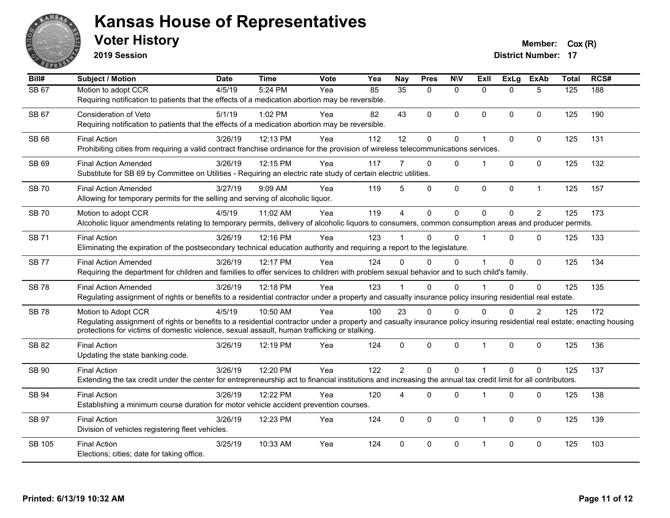

**2019 Session**

**Voter History Member:**  $Cox(R)$ 

| Bill#         | <b>Subject / Motion</b>                                                                                                                                                                                                                                                                          | <b>Date</b> | <b>Time</b> | Vote | Yea | <b>Nay</b>      | <b>Pres</b>    | <b>NIV</b>   | <b>Exll</b>          | <b>ExLg</b>  | <b>ExAb</b>    | <b>Total</b> | RCS# |
|---------------|--------------------------------------------------------------------------------------------------------------------------------------------------------------------------------------------------------------------------------------------------------------------------------------------------|-------------|-------------|------|-----|-----------------|----------------|--------------|----------------------|--------------|----------------|--------------|------|
| <b>SB 67</b>  | Motion to adopt CCR<br>Requiring notification to patients that the effects of a medication abortion may be reversible.                                                                                                                                                                           | 4/5/19      | 5:24 PM     | Yea  | 85  | $\overline{35}$ | $\mathbf{0}$   | $\mathbf{0}$ | $\Omega$             | $\Omega$     | 5              | 125          | 188  |
| SB 67         | <b>Consideration of Veto</b><br>Requiring notification to patients that the effects of a medication abortion may be reversible.                                                                                                                                                                  | 5/1/19      | 1:02 PM     | Yea  | 82  | 43              | 0              | $\mathbf{0}$ | $\Omega$             | $\Omega$     | $\mathbf{0}$   | 125          | 190  |
| <b>SB 68</b>  | <b>Final Action</b><br>Prohibiting cities from requiring a valid contract franchise ordinance for the provision of wireless telecommunications services.                                                                                                                                         | 3/26/19     | 12:13 PM    | Yea  | 112 | 12              | 0              | $\pmb{0}$    | 1                    | $\pmb{0}$    | $\pmb{0}$      | 125          | 131  |
| SB 69         | <b>Final Action Amended</b><br>Substitute for SB 69 by Committee on Utilities - Requiring an electric rate study of certain electric utilities.                                                                                                                                                  | 3/26/19     | 12:15 PM    | Yea  | 117 |                 | $\mathbf{0}$   | $\mathbf{0}$ |                      | $\Omega$     | $\mathbf{0}$   | 125          | 132  |
| <b>SB70</b>   | <b>Final Action Amended</b><br>Allowing for temporary permits for the selling and serving of alcoholic liquor.                                                                                                                                                                                   | 3/27/19     | 9:09 AM     | Yea  | 119 | 5               | 0              | $\pmb{0}$    | 0                    | $\mathbf 0$  | $\mathbf{1}$   | 125          | 157  |
| <b>SB70</b>   | Motion to adopt CCR<br>Alcoholic liquor amendments relating to temporary permits, delivery of alcoholic liquors to consumers, common consumption areas and producer permits.                                                                                                                     | 4/5/19      | 11:02 AM    | Yea  | 119 | $\overline{4}$  | $\overline{0}$ | $\mathbf 0$  | $\Omega$             | $\Omega$     | $\overline{2}$ | 125          | 173  |
| <b>SB 71</b>  | <b>Final Action</b><br>Eliminating the expiration of the postsecondary technical education authority and requiring a report to the legislature.                                                                                                                                                  | 3/26/19     | 12:16 PM    | Yea  | 123 |                 | $\Omega$       | $\Omega$     |                      | $\Omega$     | $\mathbf{0}$   | 125          | 133  |
| <b>SB77</b>   | <b>Final Action Amended</b><br>Requiring the department for children and families to offer services to children with problem sexual behavior and to such child's family.                                                                                                                         | 3/26/19     | 12:17 PM    | Yea  | 124 | $\Omega$        | $\Omega$       | 0            |                      | $\mathbf 0$  | $\mathbf 0$    | 125          | 134  |
| <b>SB78</b>   | <b>Final Action Amended</b><br>Regulating assignment of rights or benefits to a residential contractor under a property and casualty insurance policy insuring residential real estate.                                                                                                          | 3/26/19     | 12:18 PM    | Yea  | 123 |                 | 0              | $\Omega$     |                      | $\Omega$     | $\mathbf 0$    | 125          | 135  |
| <b>SB 78</b>  | Motion to Adopt CCR<br>Regulating assignment of rights or benefits to a residential contractor under a property and casualty insurance policy insuring residential real estate; enacting housing<br>protections for victims of domestic violence, sexual assault, human trafficking or stalking. | 4/5/19      | 10:50 AM    | Yea  | 100 | 23              | 0              | 0            | $\Omega$             | $\Omega$     | $\overline{c}$ | 125          | 172  |
| SB 82         | <b>Final Action</b><br>Updating the state banking code.                                                                                                                                                                                                                                          | 3/26/19     | 12:19 PM    | Yea  | 124 | $\Omega$        | $\Omega$       | $\mathbf{0}$ | $\blacktriangleleft$ | $\Omega$     | $\mathbf{0}$   | 125          | 136  |
| SB 90         | <b>Final Action</b><br>Extending the tax credit under the center for entrepreneurship act to financial institutions and increasing the annual tax credit limit for all contributors.                                                                                                             | 3/26/19     | 12:20 PM    | Yea  | 122 | $\overline{2}$  | $\Omega$       | $\mathbf{0}$ | 1                    | $\Omega$     | $\Omega$       | 125          | 137  |
| SB 94         | <b>Final Action</b><br>Establishing a minimum course duration for motor vehicle accident prevention courses.                                                                                                                                                                                     | 3/26/19     | 12:22 PM    | Yea  | 120 | 4               | $\Omega$       | $\Omega$     | 1                    | $\mathbf 0$  | $\mathbf{0}$   | 125          | 138  |
| <b>SB 97</b>  | <b>Final Action</b><br>Division of vehicles registering fleet vehicles.                                                                                                                                                                                                                          | 3/26/19     | 12:23 PM    | Yea  | 124 | $\mathbf{0}$    | $\Omega$       | $\mathbf{0}$ | -1                   | $\mathbf{0}$ | $\mathbf{0}$   | 125          | 139  |
| <b>SB 105</b> | <b>Final Action</b><br>Elections; cities; date for taking office.                                                                                                                                                                                                                                | 3/25/19     | 10:33 AM    | Yea  | 124 | $\Omega$        | $\Omega$       | $\mathbf{0}$ | $\overline{1}$       | $\Omega$     | $\mathbf{0}$   | 125          | 103  |